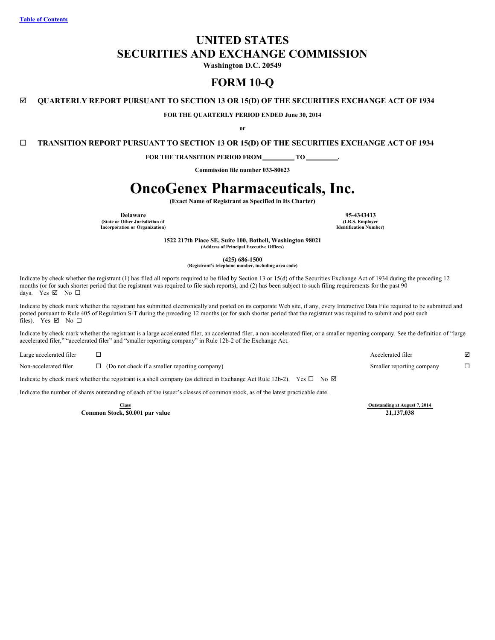# **UNITED STATES SECURITIES AND EXCHANGE COMMISSION**

**Washington D.C. 20549**

# **FORM 10-Q**

# þ **QUARTERLY REPORT PURSUANT TO SECTION 13 OR 15(D) OF THE SECURITIES EXCHANGE ACT OF 1934**

**FOR THE QUARTERLY PERIOD ENDED June 30, 2014**

**or**

¨ **TRANSITION REPORT PURSUANT TO SECTION 13 OR 15(D) OF THE SECURITIES EXCHANGE ACT OF 1934**

**FOR THE TRANSITION PERIOD FROM TO .**

**Commission file number 033-80623**

# **OncoGenex Pharmaceuticals, Inc.**

**(Exact Name of Registrant as Specified in Its Charter)**

**Delaware 95-4343413 (State or Other Jurisdiction of Incorporation or Organization)**

**(I.R.S. Employer Identification Number)**

**1522 217th Place SE, Suite 100, Bothell, Washington 98021 (Address of Principal Executive Offices)**

**(425) 686-1500**

**(Registrant's telephone number, including area code)**

Indicate by check whether the registrant (1) has filed all reports required to be filed by Section 13 or 15(d) of the Securities Exchange Act of 1934 during the preceding 12 months (or for such shorter period that the registrant was required to file such reports), and (2) has been subject to such filing requirements for the past 90 days. Yes  $\boxtimes$  No  $\square$ 

Indicate by check mark whether the registrant has submitted electronically and posted on its corporate Web site, if any, every Interactive Data File required to be submitted and posted pursuant to Rule 405 of Regulation S-T during the preceding 12 months (or for such shorter period that the registrant was required to submit and post such files). Yes  $\boxtimes$  No  $\square$ 

Indicate by check mark whether the registrant is a large accelerated filer, an accelerated filer, a non-accelerated filer, or a smaller reporting company. See the definition of "large accelerated filer," "accelerated filer" and "smaller reporting company" in Rule 12b-2 of the Exchange Act.

| Large accelerated filer |                                                                                                                                | Accelerated filer         |  |
|-------------------------|--------------------------------------------------------------------------------------------------------------------------------|---------------------------|--|
| Non-accelerated filer   | $\Box$ (Do not check if a smaller reporting company)                                                                           | Smaller reporting company |  |
|                         | Indicate by check mark whether the registrant is a shell company (as defined in Exchange Act Rule 12b-2). Yes $\Box$ No $\Box$ |                           |  |

Indicate the number of shares outstanding of each of the issuer's classes of common stock, as of the latest practicable date.

**Common Stock, \$0.001 par value** 

**Class Class Outstanding at August 7, 2014**<br> **a a Class Class Class Class Class Class Class Class Class Class Class Class Class Class Class Class Class Class Class Class Clas**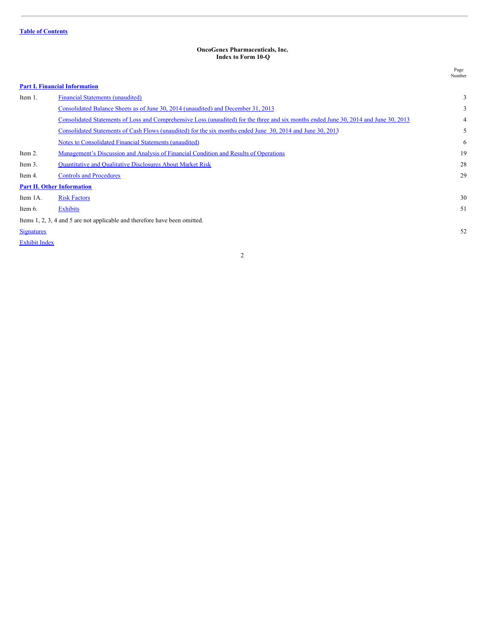#### <span id="page-1-0"></span>**OncoGenex Pharmaceuticals, Inc. Index to Form 10-Q**

Page

|                      |                                                                                                                                       | Number |
|----------------------|---------------------------------------------------------------------------------------------------------------------------------------|--------|
|                      | <b>Part I. Financial Information</b>                                                                                                  |        |
| Item 1.              | <b>Financial Statements (unaudited)</b>                                                                                               | 3      |
|                      | Consolidated Balance Sheets as of June 30, 2014 (unaudited) and December 31, 2013                                                     | 3      |
|                      | Consolidated Statements of Loss and Comprehensive Loss (unaudited) for the three and six months ended June 30, 2014 and June 30, 2013 | 4      |
|                      | Consolidated Statements of Cash Flows (unaudited) for the six months ended June 30, 2014 and June 30, 2013                            | 5      |
|                      | <b>Notes to Consolidated Financial Statements (unaudited)</b>                                                                         | 6      |
| Item 2.              | Management's Discussion and Analysis of Financial Condition and Results of Operations                                                 | 19     |
| Item 3.              | <b>Quantitative and Qualitative Disclosures About Market Risk</b>                                                                     | 28     |
| Item 4.              | <b>Controls and Procedures</b>                                                                                                        | 29     |
|                      | <b>Part II. Other Information</b>                                                                                                     |        |
| Item 1A.             | <b>Risk Factors</b>                                                                                                                   | 30     |
| Item 6.              | <b>Exhibits</b>                                                                                                                       | 51     |
|                      | Items 1, 2, 3, 4 and 5 are not applicable and therefore have been omitted.                                                            |        |
| <b>Signatures</b>    |                                                                                                                                       | 52     |
| <b>Exhibit Index</b> |                                                                                                                                       |        |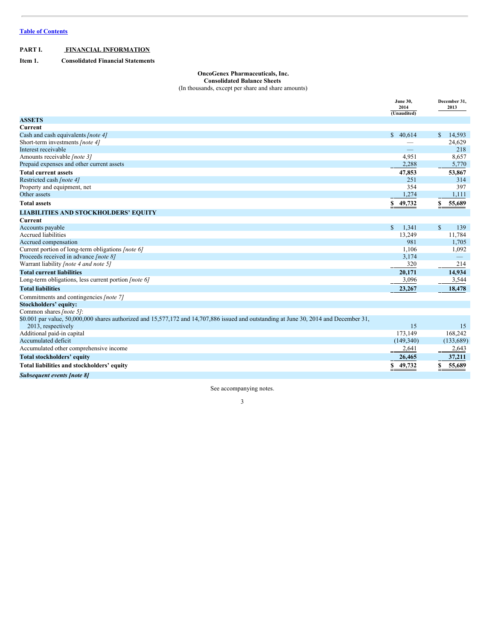# <span id="page-2-0"></span>**PART I. FINANCIAL INFORMATION**

<span id="page-2-1"></span>**Item 1. Consolidated Financial Statements**

# <span id="page-2-2"></span>**OncoGenex Pharmaceuticals, Inc.**

**Consolidated Balance Sheets**

(In thousands, except per share and share amounts)

|                                                                                                                                                              | <b>June 30,</b><br>2014 | December 31,<br>2013   |
|--------------------------------------------------------------------------------------------------------------------------------------------------------------|-------------------------|------------------------|
|                                                                                                                                                              | (Unaudited)             |                        |
| <b>ASSETS</b>                                                                                                                                                |                         |                        |
| <b>Current</b>                                                                                                                                               |                         |                        |
| Cash and cash equivalents [note 4]                                                                                                                           | \$40.614                | $\mathbb{S}$<br>14,593 |
| Short-term investments [note 4]                                                                                                                              |                         | 24,629                 |
| Interest receivable                                                                                                                                          |                         | 218                    |
| Amounts receivable [note 3]                                                                                                                                  | 4,951                   | 8,657                  |
| Prepaid expenses and other current assets                                                                                                                    | 2,288                   | 5,770                  |
| <b>Total current assets</b>                                                                                                                                  | 47,853                  | 53,867                 |
| Restricted cash [note 4]                                                                                                                                     | 251                     | 314                    |
| Property and equipment, net                                                                                                                                  | 354                     | 397                    |
| Other assets                                                                                                                                                 | 1,274                   | 1,111                  |
| <b>Total assets</b>                                                                                                                                          | \$49,732                | 55,689<br>S            |
| <b>LIABILITIES AND STOCKHOLDERS' EQUITY</b>                                                                                                                  |                         |                        |
| Current                                                                                                                                                      |                         |                        |
| Accounts payable                                                                                                                                             | $\mathbb{S}$<br>1,341   | $\mathbb{S}$<br>139    |
| <b>Accrued liabilities</b>                                                                                                                                   | 13,249                  | 11,784                 |
| Accrued compensation                                                                                                                                         | 981                     | 1,705                  |
| Current portion of long-term obligations [note 6]                                                                                                            | 1,106                   | 1,092                  |
| Proceeds received in advance [note 8]                                                                                                                        | 3,174                   |                        |
| Warrant liability <i>[note 4 and note 5]</i>                                                                                                                 | 320                     | 214                    |
| <b>Total current liabilities</b>                                                                                                                             | 20,171                  | 14,934                 |
| Long-term obligations, less current portion <i>[note 6]</i>                                                                                                  | 3,096                   | 3,544                  |
| <b>Total liabilities</b>                                                                                                                                     | 23,267                  | 18,478                 |
| Commitments and contingencies [note 7]                                                                                                                       |                         |                        |
| Stockholders' equity:                                                                                                                                        |                         |                        |
| Common shares [note 5]:                                                                                                                                      |                         |                        |
| \$0.001 par value, 50,000,000 shares authorized and 15,577,172 and 14,707,886 issued and outstanding at June 30, 2014 and December 31,<br>2013, respectively | 15                      | 15                     |
| Additional paid-in capital                                                                                                                                   | 173,149                 | 168,242                |
| Accumulated deficit                                                                                                                                          | (149,340)               | (133,689)              |
| Accumulated other comprehensive income                                                                                                                       | 2,641                   | 2,643                  |
| Total stockholders' equity                                                                                                                                   | 26,465                  | 37,211                 |
| Total liabilities and stockholders' equity                                                                                                                   | \$<br>49,732            | 55,689<br>\$           |
| Subsequent events [note 8]                                                                                                                                   |                         |                        |

See accompanying notes.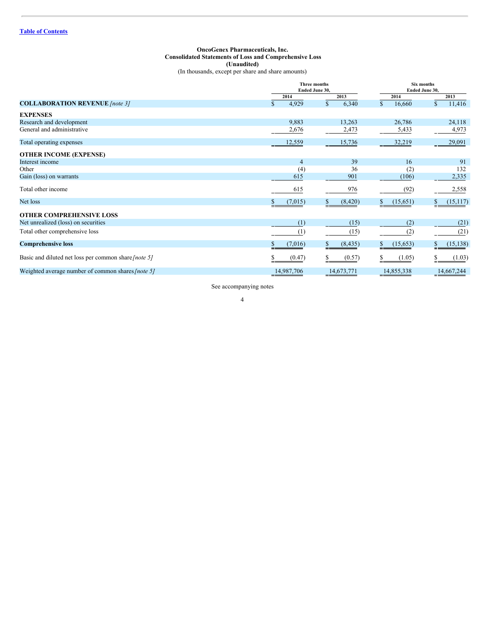# <span id="page-3-0"></span>**OncoGenex Pharmaceuticals, Inc. Consolidated Statements of Loss and Comprehensive Loss (Unaudited)** (In thousands, except per share and share amounts)

|                                                      |                       | <b>Three months</b><br>Ended June 30, |                                      | Six months<br>Ended June 30, |  |  |
|------------------------------------------------------|-----------------------|---------------------------------------|--------------------------------------|------------------------------|--|--|
|                                                      | 2014                  | 2013                                  | 2014                                 | 2013                         |  |  |
| <b>COLLABORATION REVENUE</b> [note 3]                | 4,929<br>$\mathbb{S}$ | $\mathbb{S}$<br>6,340                 | $\mathbb{S}$<br>16,660               | $\mathbf S$<br>11,416        |  |  |
| <b>EXPENSES</b>                                      |                       |                                       |                                      |                              |  |  |
| Research and development                             | 9,883                 | 13,263                                | 26,786                               | 24,118                       |  |  |
| General and administrative                           | 2,676                 | 2,473                                 | 5,433                                | 4,973                        |  |  |
| Total operating expenses                             | 12,559                | 15,736                                | 32,219                               | 29,091                       |  |  |
| <b>OTHER INCOME (EXPENSE)</b>                        |                       |                                       |                                      |                              |  |  |
| Interest income                                      |                       | 39<br>$\overline{4}$                  | 16                                   | 91                           |  |  |
| Other                                                |                       | 36<br>(4)                             | (2)                                  | 132                          |  |  |
| Gain (loss) on warrants                              |                       | 615<br>901                            | (106)                                | 2,335                        |  |  |
| Total other income                                   |                       | 615<br>976                            | (92)                                 | 2,558                        |  |  |
| Net loss                                             | (7,015)               | (8,420)                               | (15, 651)<br>$\overline{\mathbf{z}}$ | (15, 117)                    |  |  |
| <b>OTHER COMPREHENSIVE LOSS</b>                      |                       |                                       |                                      |                              |  |  |
| Net unrealized (loss) on securities                  |                       | (1)<br>(15)                           | (2)                                  | (21)                         |  |  |
| Total other comprehensive loss                       |                       | (1)<br>(15)                           | (2)                                  | (21)                         |  |  |
| <b>Comprehensive loss</b>                            | (7,016)<br>\$         | (8, 435)<br>\$                        | (15, 653)<br>\$                      | (15, 138)                    |  |  |
| Basic and diluted net loss per common share [note 5] |                       | (0.47)<br>(0.57)                      | (1.05)<br>S                          | (1.03)                       |  |  |
| Weighted average number of common shares [note 5]    | 14,987,706            | 14,673,771                            | 14,855,338                           | 14,667,244                   |  |  |

See accompanying notes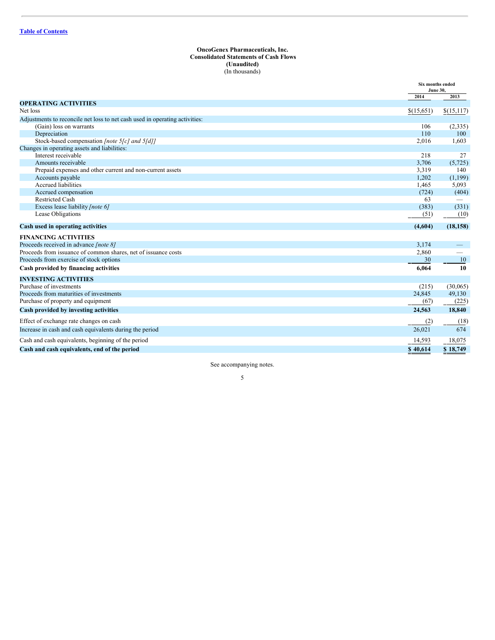# <span id="page-4-0"></span>**OncoGenex Pharmaceuticals, Inc. Consolidated Statements of Cash Flows (Unaudited)** (In thousands)

|                                                                               | Six months ended<br><b>June 30.</b> |                 |
|-------------------------------------------------------------------------------|-------------------------------------|-----------------|
|                                                                               | 2014                                | 2013            |
| <b>OPERATING ACTIVITIES</b>                                                   |                                     |                 |
| Net loss                                                                      | \$(15,651)                          | \$(15,117)      |
| Adjustments to reconcile net loss to net cash used in operating activities:   |                                     |                 |
| (Gain) loss on warrants                                                       | 106                                 | (2,335)         |
| Depreciation                                                                  | 110                                 | 100             |
| Stock-based compensation [note 5[c] and 5[d]]                                 | 2,016                               | 1,603           |
| Changes in operating assets and liabilities:                                  |                                     |                 |
| Interest receivable                                                           | 218                                 | 27              |
| Amounts receivable                                                            | 3,706                               | (5, 725)<br>140 |
| Prepaid expenses and other current and non-current assets<br>Accounts payable | 3,319<br>1,202                      | (1,199)         |
| Accrued liabilities                                                           | 1,465                               | 5,093           |
| Accrued compensation                                                          | (724)                               | (404)           |
| <b>Restricted Cash</b>                                                        | 63                                  |                 |
| Excess lease liability [note 6]                                               | (383)                               | (331)           |
| Lease Obligations                                                             | (51)                                | (10)            |
| Cash used in operating activities                                             | (4,604)                             | (18, 158)       |
| <b>FINANCING ACTIVITIES</b>                                                   |                                     |                 |
| Proceeds received in advance [note 8]                                         | 3,174                               |                 |
| Proceeds from issuance of common shares, net of issuance costs                | 2,860                               |                 |
| Proceeds from exercise of stock options                                       | 30                                  | 10              |
| Cash provided by financing activities                                         | 6.064                               | 10              |
| <b>INVESTING ACTIVITIES</b>                                                   |                                     |                 |
| Purchase of investments                                                       | (215)                               | (30,065)        |
| Proceeds from maturities of investments                                       | 24,845                              | 49,130          |
| Purchase of property and equipment                                            | (67)                                | (225)           |
| Cash provided by investing activities                                         | 24,563                              | 18,840          |
| Effect of exchange rate changes on cash                                       | (2)                                 | (18)            |
| Increase in cash and cash equivalents during the period                       | 26,021                              | 674             |
| Cash and cash equivalents, beginning of the period                            | 14,593                              | 18,075          |
| Cash and cash equivalents, end of the period                                  | \$40,614                            | \$18,749        |

See accompanying notes.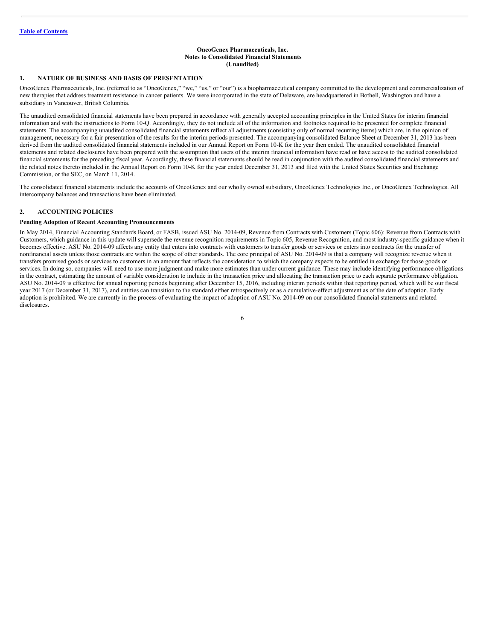# <span id="page-5-0"></span>**OncoGenex Pharmaceuticals, Inc. Notes to Consolidated Financial Statements (Unaudited)**

# **1. NATURE OF BUSINESS AND BASIS OF PRESENTATION**

OncoGenex Pharmaceuticals, Inc. (referred to as "OncoGenex," "we," "us," or "our") is a biopharmaceutical company committed to the development and commercialization of new therapies that address treatment resistance in cancer patients. We were incorporated in the state of Delaware, are headquartered in Bothell, Washington and have a subsidiary in Vancouver, British Columbia.

The unaudited consolidated financial statements have been prepared in accordance with generally accepted accounting principles in the United States for interim financial information and with the instructions to Form 10-Q. Accordingly, they do not include all of the information and footnotes required to be presented for complete financial statements. The accompanying unaudited consolidated financial statements reflect all adjustments (consisting only of normal recurring items) which are, in the opinion of management, necessary for a fair presentation of the results for the interim periods presented. The accompanying consolidated Balance Sheet at December 31, 2013 has been derived from the audited consolidated financial statements included in our Annual Report on Form 10-K for the year then ended. The unaudited consolidated financial statements and related disclosures have been prepared with the assumption that users of the interim financial information have read or have access to the audited consolidated financial statements for the preceding fiscal year. Accordingly, these financial statements should be read in conjunction with the audited consolidated financial statements and the related notes thereto included in the Annual Report on Form 10-K for the year ended December 31, 2013 and filed with the United States Securities and Exchange Commission, or the SEC, on March 11, 2014.

The consolidated financial statements include the accounts of OncoGenex and our wholly owned subsidiary, OncoGenex Technologies Inc., or OncoGenex Technologies. All intercompany balances and transactions have been eliminated.

# **2. ACCOUNTING POLICIES**

# **Pending Adoption of Recent Accounting Pronouncements**

In May 2014, Financial Accounting Standards Board, or FASB, issued ASU No. 2014-09, Revenue from Contracts with Customers (Topic 606): Revenue from Contracts with Customers, which guidance in this update will supersede the revenue recognition requirements in Topic 605, Revenue Recognition, and most industry-specific guidance when it becomes effective. ASU No. 2014-09 affects any entity that enters into contracts with customers to transfer goods or services or enters into contracts for the transfer of nonfinancial assets unless those contracts are within the scope of other standards. The core principal of ASU No. 2014-09 is that a company will recognize revenue when it transfers promised goods or services to customers in an amount that reflects the consideration to which the company expects to be entitled in exchange for those goods or services. In doing so, companies will need to use more judgment and make more estimates than under current guidance. These may include identifying performance obligations in the contract, estimating the amount of variable consideration to include in the transaction price and allocating the transaction price to each separate performance obligation. ASU No. 2014-09 is effective for annual reporting periods beginning after December 15, 2016, including interim periods within that reporting period, which will be our fiscal year 2017 (or December 31, 2017), and entities can transition to the standard either retrospectively or as a cumulative-effect adjustment as of the date of adoption. Early adoption is prohibited. We are currently in the process of evaluating the impact of adoption of ASU No. 2014-09 on our consolidated financial statements and related disclosures<sup>1</sup>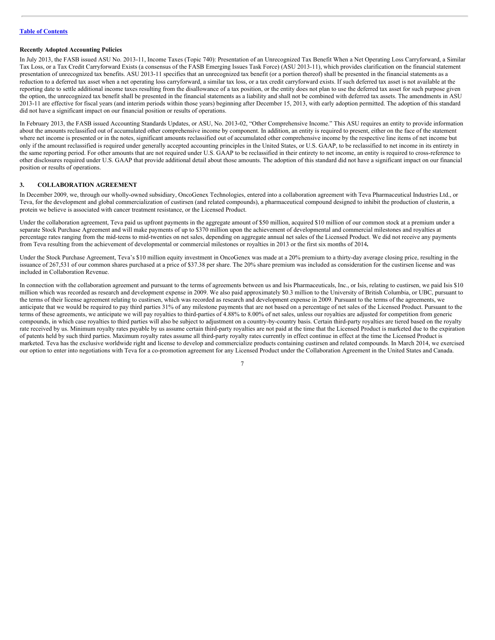# **Recently Adopted Accounting Policies**

In July 2013, the FASB issued ASU No. 2013-11, Income Taxes (Topic 740): Presentation of an Unrecognized Tax Benefit When a Net Operating Loss Carryforward, a Similar Tax Loss, or a Tax Credit Carryforward Exists (a consensus of the FASB Emerging Issues Task Force) (ASU 2013-11), which provides clarification on the financial statement presentation of unrecognized tax benefits. ASU 2013-11 specifies that an unrecognized tax benefit (or a portion thereof) shall be presented in the financial statements as a reduction to a deferred tax asset when a net operating loss carryforward, a similar tax loss, or a tax credit carryforward exists. If such deferred tax asset is not available at the reporting date to settle additional income taxes resulting from the disallowance of a tax position, or the entity does not plan to use the deferred tax asset for such purpose given the option, the unrecognized tax benefit shall be presented in the financial statements as a liability and shall not be combined with deferred tax assets. The amendments in ASU 2013-11 are effective for fiscal years (and interim periods within those years) beginning after December 15, 2013, with early adoption permitted. The adoption of this standard did not have a significant impact on our financial position or results of operations.

In February 2013, the FASB issued Accounting Standards Updates, or ASU, No. 2013-02, "Other Comprehensive Income." This ASU requires an entity to provide information about the amounts reclassified out of accumulated other comprehensive income by component. In addition, an entity is required to present, either on the face of the statement where net income is presented or in the notes, significant amounts reclassified out of accumulated other comprehensive income by the respective line items of net income but only if the amount reclassified is required under generally accepted accounting principles in the United States, or U.S. GAAP, to be reclassified to net income in its entirety in the same reporting period. For other amounts that are not required under U.S. GAAP to be reclassified in their entirety to net income, an entity is required to cross-reference to other disclosures required under U.S. GAAP that provide additional detail about those amounts. The adoption of this standard did not have a significant impact on our financial position or results of operations.

# **3. COLLABORATION AGREEMENT**

In December 2009, we, through our wholly-owned subsidiary, OncoGenex Technologies, entered into a collaboration agreement with Teva Pharmaceutical Industries Ltd., or Teva, for the development and global commercialization of custirsen (and related compounds), a pharmaceutical compound designed to inhibit the production of clusterin, a protein we believe is associated with cancer treatment resistance, or the Licensed Product.

Under the collaboration agreement, Teva paid us upfront payments in the aggregate amount of \$50 million, acquired \$10 million of our common stock at a premium under a separate Stock Purchase Agreement and will make payments of up to \$370 million upon the achievement of developmental and commercial milestones and royalties at percentage rates ranging from the mid-teens to mid-twenties on net sales, depending on aggregate annual net sales of the Licensed Product. We did not receive any payments from Teva resulting from the achievement of developmental or commercial milestones or royalties in 2013 or the first six months of 2014**.**

Under the Stock Purchase Agreement, Teva's \$10 million equity investment in OncoGenex was made at a 20% premium to a thirty-day average closing price, resulting in the issuance of 267,531 of our common shares purchased at a price of \$37.38 per share. The 20% share premium was included as consideration for the custirsen license and was included in Collaboration Revenue.

In connection with the collaboration agreement and pursuant to the terms of agreements between us and Isis Pharmaceuticals, Inc., or Isis, relating to custirsen, we paid Isis \$10 million which was recorded as research and development expense in 2009. We also paid approximately \$0.3 million to the University of British Columbia, or UBC, pursuant to the terms of their license agreement relating to custirsen, which was recorded as research and development expense in 2009. Pursuant to the terms of the agreements, we anticipate that we would be required to pay third parties 31% of any milestone payments that are not based on a percentage of net sales of the Licensed Product. Pursuant to the terms of these agreements, we anticipate we will pay royalties to third-parties of 4.88% to 8.00% of net sales, unless our royalties are adjusted for competition from generic compounds, in which case royalties to third parties will also be subject to adjustment on a country-by-country basis. Certain third-party royalties are tiered based on the royalty rate received by us. Minimum royalty rates payable by us assume certain third-party royalties are not paid at the time that the Licensed Product is marketed due to the expiration of patents held by such third parties. Maximum royalty rates assume all third-party royalty rates currently in effect continue in effect at the time the Licensed Product is marketed. Teva has the exclusive worldwide right and license to develop and commercialize products containing custirsen and related compounds. In March 2014, we exercised our option to enter into negotiations with Teva for a co-promotion agreement for any Licensed Product under the Collaboration Agreement in the United States and Canada.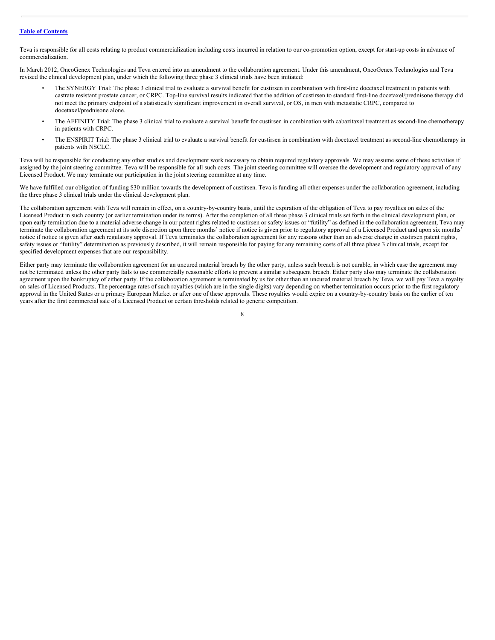Teva is responsible for all costs relating to product commercialization including costs incurred in relation to our co-promotion option, except for start-up costs in advance of commercialization.

In March 2012, OncoGenex Technologies and Teva entered into an amendment to the collaboration agreement. Under this amendment, OncoGenex Technologies and Teva revised the clinical development plan, under which the following three phase 3 clinical trials have been initiated:

- The SYNERGY Trial: The phase 3 clinical trial to evaluate a survival benefit for custirsen in combination with first-line docetaxel treatment in patients with castrate resistant prostate cancer, or CRPC. Top-line survival results indicated that the addition of custirsen to standard first-line docetaxel/prednisone therapy did not meet the primary endpoint of a statistically significant improvement in overall survival, or OS, in men with metastatic CRPC, compared to docetaxel/prednisone alone.
- The AFFINITY Trial: The phase 3 clinical trial to evaluate a survival benefit for custirsen in combination with cabazitaxel treatment as second-line chemotherapy in patients with CRPC.
- The ENSPIRIT Trial: The phase 3 clinical trial to evaluate a survival benefit for custirsen in combination with docetaxel treatment as second-line chemotherapy in patients with NSCLC.

Teva will be responsible for conducting any other studies and development work necessary to obtain required regulatory approvals. We may assume some of these activities if assigned by the joint steering committee. Teva will be responsible for all such costs. The joint steering committee will oversee the development and regulatory approval of any Licensed Product. We may terminate our participation in the joint steering committee at any time.

We have fulfilled our obligation of funding \$30 million towards the development of custirsen. Teva is funding all other expenses under the collaboration agreement, including the three phase 3 clinical trials under the clinical development plan.

The collaboration agreement with Teva will remain in effect, on a country-by-country basis, until the expiration of the obligation of Teva to pay royalties on sales of the Licensed Product in such country (or earlier termination under its terms). After the completion of all three phase 3 clinical trials set forth in the clinical development plan, or upon early termination due to a material adverse change in our patent rights related to custirsen or safety issues or "futility" as defined in the collaboration agreement, Teva may terminate the collaboration agreement at its sole discretion upon three months' notice if notice is given prior to regulatory approval of a Licensed Product and upon six months' notice if notice is given after such regulatory approval. If Teva terminates the collaboration agreement for any reasons other than an adverse change in custirsen patent rights, safety issues or "futility" determination as previously described, it will remain responsible for paying for any remaining costs of all three phase 3 clinical trials, except for specified development expenses that are our responsibility.

Either party may terminate the collaboration agreement for an uncured material breach by the other party, unless such breach is not curable, in which case the agreement may not be terminated unless the other party fails to use commercially reasonable efforts to prevent a similar subsequent breach. Either party also may terminate the collaboration agreement upon the bankruptcy of either party. If the collaboration agreement is terminated by us for other than an uncured material breach by Teva, we will pay Teva a royalty on sales of Licensed Products. The percentage rates of such royalties (which are in the single digits) vary depending on whether termination occurs prior to the first regulatory approval in the United States or a primary European Market or after one of these approvals. These royalties would expire on a country-by-country basis on the earlier of ten years after the first commercial sale of a Licensed Product or certain thresholds related to generic competition.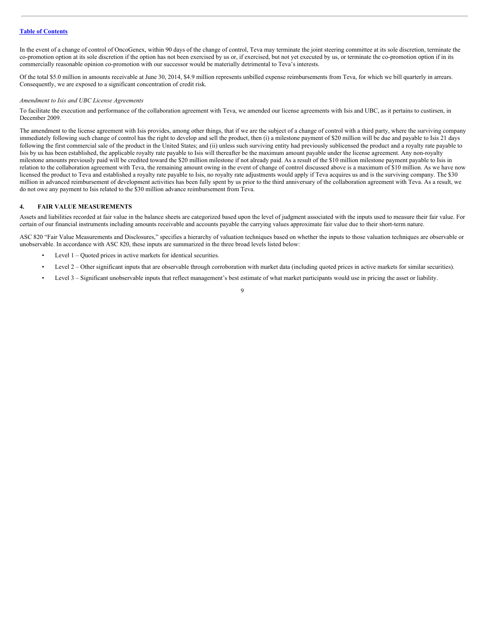In the event of a change of control of OncoGenex, within 90 days of the change of control, Teva may terminate the joint steering committee at its sole discretion, terminate the co-promotion option at its sole discretion if the option has not been exercised by us or, if exercised, but not yet executed by us, or terminate the co-promotion option if in its commercially reasonable opinion co-promotion with our successor would be materially detrimental to Teva's interests.

Of the total \$5.0 million in amounts receivable at June 30, 2014, \$4.9 million represents unbilled expense reimbursements from Teva, for which we bill quarterly in arrears. Consequently, we are exposed to a significant concentration of credit risk.

#### *Amendment to Isis and UBC License Agreements*

To facilitate the execution and performance of the collaboration agreement with Teva, we amended our license agreements with Isis and UBC, as it pertains to custirsen, in December 2009.

The amendment to the license agreement with Isis provides, among other things, that if we are the subject of a change of control with a third party, where the surviving company immediately following such change of control has the right to develop and sell the product, then (i) a milestone payment of \$20 million will be due and payable to Isis 21 days following the first commercial sale of the product in the United States; and (ii) unless such surviving entity had previously sublicensed the product and a royalty rate payable to Isis by us has been established, the applicable royalty rate payable to Isis will thereafter be the maximum amount payable under the license agreement. Any non-royalty milestone amounts previously paid will be credited toward the \$20 million milestone if not already paid. As a result of the \$10 million milestone payment payable to Isis in relation to the collaboration agreement with Teva, the remaining amount owing in the event of change of control discussed above is a maximum of \$10 million. As we have now licensed the product to Teva and established a royalty rate payable to Isis, no royalty rate adjustments would apply if Teva acquires us and is the surviving company. The \$30 million in advanced reimbursement of development activities has been fully spent by us prior to the third anniversary of the collaboration agreement with Teva. As a result, we do not owe any payment to Isis related to the \$30 million advance reimbursement from Teva.

# **4. FAIR VALUE MEASUREMENTS**

Assets and liabilities recorded at fair value in the balance sheets are categorized based upon the level of judgment associated with the inputs used to measure their fair value. For certain of our financial instruments including amounts receivable and accounts payable the carrying values approximate fair value due to their short-term nature.

ASC 820 "Fair Value Measurements and Disclosures," specifies a hierarchy of valuation techniques based on whether the inputs to those valuation techniques are observable or unobservable. In accordance with ASC 820, these inputs are summarized in the three broad levels listed below:

- Level  $1 -$ Quoted prices in active markets for identical securities.
- Level 2 Other significant inputs that are observable through corroboration with market data (including quoted prices in active markets for similar securities).
- Level  $3$  Significant unobservable inputs that reflect management's best estimate of what market participants would use in pricing the asset or liability.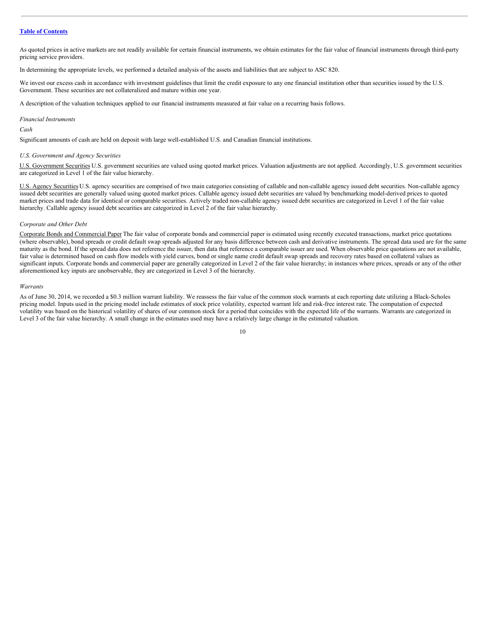As quoted prices in active markets are not readily available for certain financial instruments, we obtain estimates for the fair value of financial instruments through third-party pricing service providers.

In determining the appropriate levels, we performed a detailed analysis of the assets and liabilities that are subject to ASC 820.

We invest our excess cash in accordance with investment guidelines that limit the credit exposure to any one financial institution other than securities issued by the U.S. Government. These securities are not collateralized and mature within one year.

A description of the valuation techniques applied to our financial instruments measured at fair value on a recurring basis follows.

#### *Financial Instruments*

# *Cash*

Significant amounts of cash are held on deposit with large well-established U.S. and Canadian financial institutions.

#### *U.S. Government and Agency Securities*

U.S. Government Securities U.S. government securities are valued using quoted market prices. Valuation adjustments are not applied. Accordingly, U.S. government securities are categorized in Level 1 of the fair value hierarchy.

U.S. Agency Securities U.S. agency securities are comprised of two main categories consisting of callable and non-callable agency issued debt securities. Non-callable agency issued debt securities are generally valued using quoted market prices. Callable agency issued debt securities are valued by benchmarking model-derived prices to quoted market prices and trade data for identical or comparable securities. Actively traded non-callable agency issued debt securities are categorized in Level 1 of the fair value hierarchy. Callable agency issued debt securities are categorized in Level 2 of the fair value hierarchy.

#### *Corporate and Other Debt*

Corporate Bonds and Commercial Paper The fair value of corporate bonds and commercial paper is estimated using recently executed transactions, market price quotations (where observable), bond spreads or credit default swap spreads adjusted for any basis difference between cash and derivative instruments. The spread data used are for the same maturity as the bond. If the spread data does not reference the issuer, then data that reference a comparable issuer are used. When observable price quotations are not available, fair value is determined based on cash flow models with yield curves, bond or single name credit default swap spreads and recovery rates based on collateral values as significant inputs. Corporate bonds and commercial paper are generally categorized in Level 2 of the fair value hierarchy; in instances where prices, spreads or any of the other aforementioned key inputs are unobservable, they are categorized in Level 3 of the hierarchy.

#### *Warrants*

As of June 30, 2014, we recorded a \$0.3 million warrant liability. We reassess the fair value of the common stock warrants at each reporting date utilizing a Black-Scholes pricing model. Inputs used in the pricing model include estimates of stock price volatility, expected warrant life and risk-free interest rate. The computation of expected volatility was based on the historical volatility of shares of our common stock for a period that coincides with the expected life of the warrants. Warrants are categorized in Level 3 of the fair value hierarchy. A small change in the estimates used may have a relatively large change in the estimated valuation.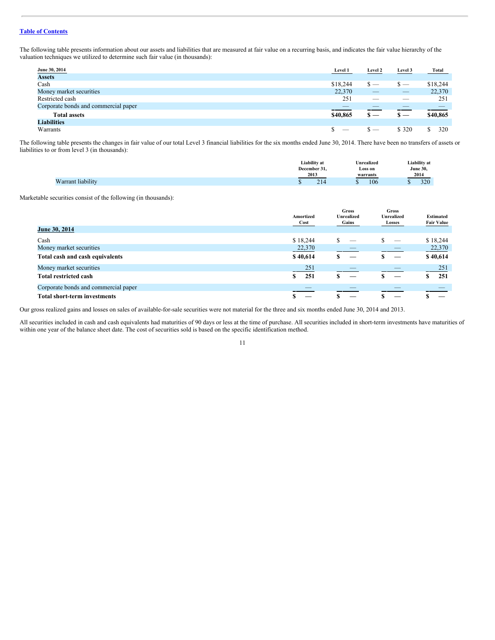The following table presents information about our assets and liabilities that are measured at fair value on a recurring basis, and indicates the fair value hierarchy of the valuation techniques we utilized to determine such fair value (in thousands):

| June 30, 2014                        | Level 1  | <b>Level 2</b> | Level 3                  | Total    |
|--------------------------------------|----------|----------------|--------------------------|----------|
| <b>Assets</b>                        |          |                |                          |          |
| Cash                                 | \$18,244 | $s -$          | $\overline{\phantom{a}}$ | \$18,244 |
| Money market securities              | 22,370   |                | $\overline{\phantom{a}}$ | 22,370   |
| Restricted cash                      | 251      | _              | __                       | 251      |
| Corporate bonds and commercial paper | _        |                |                          |          |
| <b>Total assets</b>                  | \$40,865 | $\mathbf{s}$ — | <u> ъ — </u>             | \$40,865 |
| <b>Liabilities</b>                   |          |                |                          |          |
| Warrants                             | $\sim$   | <u>&gt; —</u>  | \$ 320                   | 320      |

The following table presents the changes in fair value of our total Level 3 financial liabilities for the six months ended June 30, 2014. There have been no transfers of assets or liabilities to or from level 3 (in thousands):

|                                      | Liability at         | Unrealized   | Liability at |
|--------------------------------------|----------------------|--------------|--------------|
|                                      | December 31.         | Loss on<br>. | June 30,     |
|                                      | 2013                 | warrants     | 2014         |
| <sup><i>I</i></sup> arrant liability | $\sim$ 1<br>214<br>w | 106          | 320          |

Marketable securities consist of the following (in thousands):

|                                      | Amortized<br>Cost | <b>Gross</b><br>Unrealized<br>Gains | <b>Gross</b><br><b>Unrealized</b><br>Losses | <b>Estimated</b><br><b>Fair Value</b> |
|--------------------------------------|-------------------|-------------------------------------|---------------------------------------------|---------------------------------------|
| <b>June 30, 2014</b>                 |                   |                                     |                                             |                                       |
| Cash                                 | \$18,244          |                                     |                                             | \$18,244                              |
| Money market securities              | 22,370            |                                     |                                             | 22,370                                |
| Total cash and cash equivalents      | \$40,614          |                                     |                                             | \$40,614                              |
| Money market securities              | 251               |                                     |                                             | 251                                   |
| <b>Total restricted cash</b>         | 251<br>\$         |                                     |                                             | 251                                   |
| Corporate bonds and commercial paper |                   |                                     |                                             |                                       |
| <b>Total short-term investments</b>  |                   |                                     |                                             |                                       |

Our gross realized gains and losses on sales of available-for-sale securities were not material for the three and six months ended June 30, 2014 and 2013.

All securities included in cash and cash equivalents had maturities of 90 days or less at the time of purchase. All securities included in short-term investments have maturities of within one year of the balance sheet date. The cost of securities sold is based on the specific identification method.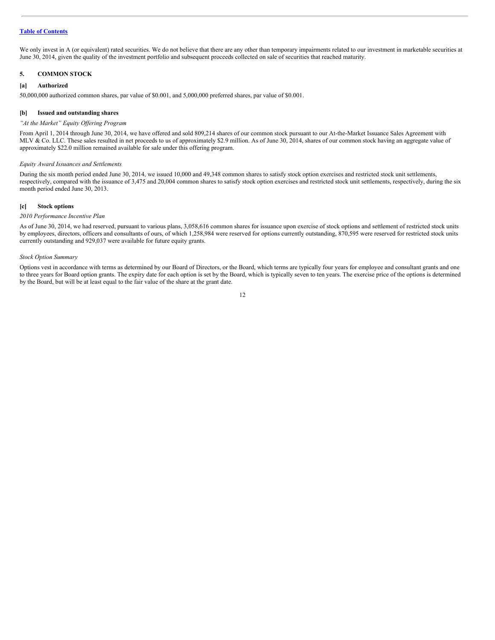We only invest in A (or equivalent) rated securities. We do not believe that there are any other than temporary impairments related to our investment in marketable securities at June 30, 2014, given the quality of the investment portfolio and subsequent proceeds collected on sale of securities that reached maturity.

# **5. COMMON STOCK**

# **[a] Authorized**

50,000,000 authorized common shares, par value of \$0.001, and 5,000,000 preferred shares, par value of \$0.001.

## **[b] Issued and outstanding shares**

# *"At the Market" Equity Of ering Program*

From April 1, 2014 through June 30, 2014, we have offered and sold 809,214 shares of our common stock pursuant to our At-the-Market Issuance Sales Agreement with MLV & Co. LLC. These sales resulted in net proceeds to us of approximately \$2.9 million. As of June 30, 2014, shares of our common stock having an aggregate value of approximately \$22.0 million remained available for sale under this offering program.

# *Equity Award Issuances and Settlements*

During the six month period ended June 30, 2014, we issued 10,000 and 49,348 common shares to satisfy stock option exercises and restricted stock unit settlements, respectively, compared with the issuance of 3,475 and 20,004 common shares to satisfy stock option exercises and restricted stock unit settlements, respectively, during the six month period ended June 30, 2013.

# **[c] Stock options**

#### *2010 Performance Incentive Plan*

As of June 30, 2014, we had reserved, pursuant to various plans, 3,058,616 common shares for issuance upon exercise of stock options and settlement of restricted stock units by employees, directors, officers and consultants of ours, of which 1,258,984 were reserved for options currently outstanding, 870,595 were reserved for restricted stock units currently outstanding and 929,037 were available for future equity grants.

#### *Stock Option Summary*

Options vest in accordance with terms as determined by our Board of Directors, or the Board, which terms are typically four years for employee and consultant grants and one to three years for Board option grants. The expiry date for each option is set by the Board, which is typically seven to ten years. The exercise price of the options is determined by the Board, but will be at least equal to the fair value of the share at the grant date.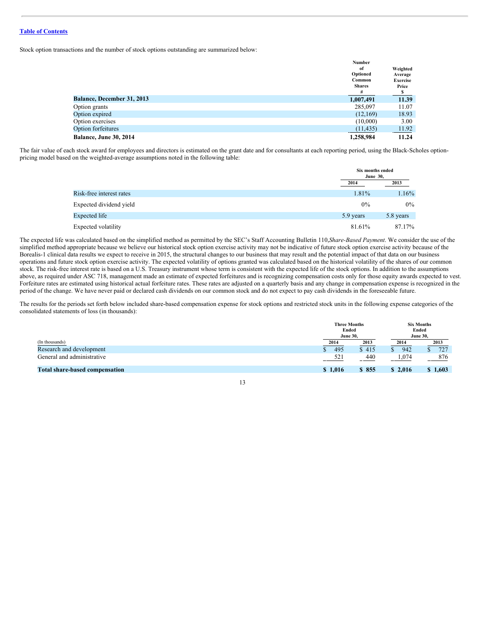Stock option transactions and the number of stock options outstanding are summarized below:

|                                   | Number        |                 |
|-----------------------------------|---------------|-----------------|
|                                   | of            | Weighted        |
|                                   | Optioned      | Average         |
|                                   | Common        | <b>Exercise</b> |
|                                   | <b>Shares</b> | Price           |
|                                   | #             |                 |
| <b>Balance, December 31, 2013</b> | 1,007,491     | 11.39           |
| Option grants                     | 285,097       | 11.07           |
| Option expired                    | (12,169)      | 18.93           |
| Option exercises                  | (10,000)      | 3.00            |
| <b>Option forfeitures</b>         | (11, 435)     | 11.92           |
| Balance, June 30, 2014            | 1,258,984     | 11.24           |

The fair value of each stock award for employees and directors is estimated on the grant date and for consultants at each reporting period, using the Black-Scholes optionpricing model based on the weighted-average assumptions noted in the following table:

|                          | Six months ended<br><b>June 30,</b> |           |
|--------------------------|-------------------------------------|-----------|
|                          | 2014                                | 2013      |
| Risk-free interest rates | 1.81%                               | 1.16%     |
| Expected dividend yield  | $0\%$                               | $0\%$     |
| Expected life            | 5.9 years                           | 5.8 years |
| Expected volatility      | 81.61%                              | 87.17%    |

The expected life was calculated based on the simplified method as permitted by the SEC's Staff Accounting Bulletin 110,*Share-Based Payment*. We consider the use of the simplified method appropriate because we believe our historical stock option exercise activity may not be indicative of future stock option exercise activity because of the Borealis-1 clinical data results we expect to receive in 2015, the structural changes to our business that may result and the potential impact of that data on our business operations and future stock option exercise activity. The expected volatility of options granted was calculated based on the historical volatility of the shares of our common stock. The risk-free interest rate is based on a U.S. Treasury instrument whose term is consistent with the expected life of the stock options. In addition to the assumptions above, as required under ASC 718, management made an estimate of expected forfeitures and is recognizing compensation costs only for those equity awards expected to vest. Forfeiture rates are estimated using historical actual forfeiture rates. These rates are adjusted on a quarterly basis and any change in compensation expense is recognized in the period of the change. We have never paid or declared cash dividends on our common stock and do not expect to pay cash dividends in the foreseeable future.

The results for the periods set forth below included share-based compensation expense for stock options and restricted stock units in the following expense categories of the consolidated statements of loss (in thousands):

|                                       | <b>Three Months</b><br>Ended<br><b>June 30,</b> |       |         | <b>Six Months</b><br>Ended<br><b>June 30,</b> |
|---------------------------------------|-------------------------------------------------|-------|---------|-----------------------------------------------|
| (In thousands)                        | 2014                                            | 2013  | 2014    | 2013                                          |
| Research and development              | 495                                             | \$415 | 942     | 727                                           |
| General and administrative            | 521                                             | 440   | 1.074   | 876                                           |
| <b>Total share-based compensation</b> | \$1,016                                         | \$855 | \$2,016 | \$1,603                                       |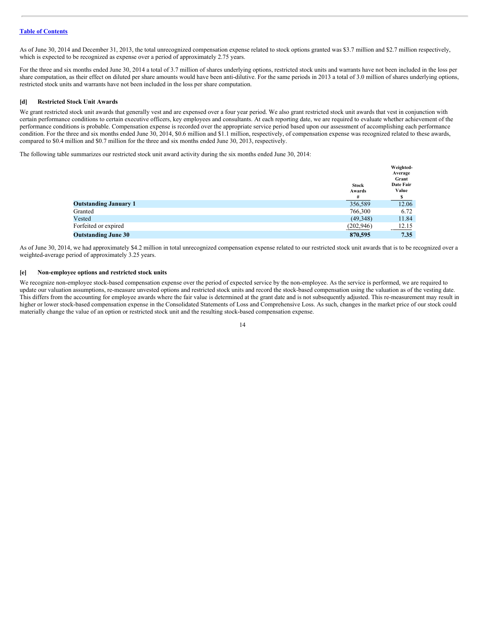As of June 30, 2014 and December 31, 2013, the total unrecognized compensation expense related to stock options granted was \$3.7 million and \$2.7 million respectively, which is expected to be recognized as expense over a period of approximately 2.75 years.

For the three and six months ended June 30, 2014 a total of 3.7 million of shares underlying options, restricted stock units and warrants have not been included in the loss per share computation, as their effect on diluted per share amounts would have been anti-dilutive. For the same periods in 2013 a total of 3.0 million of shares underlying options, restricted stock units and warrants have not been included in the loss per share computation.

# **[d] Restricted Stock Unit Awards**

We grant restricted stock unit awards that generally vest and are expensed over a four year period. We also grant restricted stock unit awards that vest in conjunction with certain performance conditions to certain executive officers, key employees and consultants. At each reporting date, we are required to evaluate whether achievement of the performance conditions is probable. Compensation expense is recorded over the appropriate service period based upon our assessment of accomplishing each performance condition. For the three and six months ended June 30, 2014, \$0.6 million and \$1.1 million, respectively, of compensation expense was recognized related to these awards, compared to \$0.4 million and \$0.7 million for the three and six months ended June 30, 2013, respectively.

The following table summarizes our restricted stock unit award activity during the six months ended June 30, 2014:

|                              |                             | Weighted-<br>Average<br>Grant |
|------------------------------|-----------------------------|-------------------------------|
|                              | <b>Stock</b><br>Awards<br># | Date Fair<br>Value            |
| <b>Outstanding January 1</b> | 356,589                     | 12.06                         |
| Granted                      | 766,300                     | 6.72                          |
| Vested                       | (49,348)                    | 11.84                         |
| Forfeited or expired         | (202, 946)                  | <u>12.15</u>                  |
| <b>Outstanding June 30</b>   | 870,595                     | 7.35                          |

As of June 30, 2014, we had approximately \$4.2 million in total unrecognized compensation expense related to our restricted stock unit awards that is to be recognized over a weighted-average period of approximately 3.25 years.

# **[e] Non-employee options and restricted stock units**

We recognize non-employee stock-based compensation expense over the period of expected service by the non-employee. As the service is performed, we are required to update our valuation assumptions, re-measure unvested options and restricted stock units and record the stock-based compensation using the valuation as of the vesting date. This differs from the accounting for employee awards where the fair value is determined at the grant date and is not subsequently adjusted. This re-measurement may result in higher or lower stock-based compensation expense in the Consolidated Statements of Loss and Comprehensive Loss. As such, changes in the market price of our stock could materially change the value of an option or restricted stock unit and the resulting stock-based compensation expense.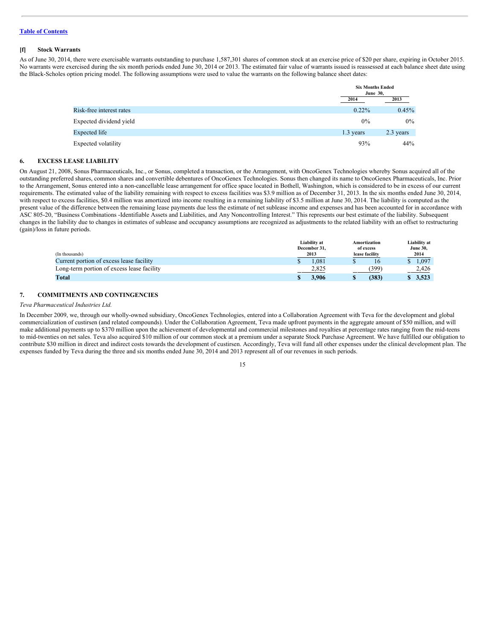# **[f] Stock Warrants**

As of June 30, 2014, there were exercisable warrants outstanding to purchase 1,587,301 shares of common stock at an exercise price of \$20 per share, expiring in October 2015. No warrants were exercised during the six month periods ended June 30, 2014 or 2013. The estimated fair value of warrants issued is reassessed at each balance sheet date using the Black-Scholes option pricing model. The following assumptions were used to value the warrants on the following balance sheet dates:

|                          |           | <b>Six Months Ended</b><br><b>June 30,</b> |  |
|--------------------------|-----------|--------------------------------------------|--|
|                          | 2014      | 2013                                       |  |
| Risk-free interest rates | $0.22\%$  | 0.45%                                      |  |
| Expected dividend yield  | 0%        | $0\%$                                      |  |
| Expected life            | 1.3 years | 2.3 years                                  |  |
| Expected volatility      | 93%       | 44%                                        |  |

# **6. EXCESS LEASE LIABILITY**

On August 21, 2008, Sonus Pharmaceuticals, Inc., or Sonus, completed a transaction, or the Arrangement, with OncoGenex Technologies whereby Sonus acquired all of the outstanding preferred shares, common shares and convertible debentures of OncoGenex Technologies. Sonus then changed its name to OncoGenex Pharmaceuticals, Inc. Prior to the Arrangement, Sonus entered into a non-cancellable lease arrangement for office space located in Bothell, Washington, which is considered to be in excess of our current requirements. The estimated value of the liability remaining with respect to excess facilities was \$3.9 million as of December 31, 2013. In the six months ended June 30, 2014, with respect to excess facilities, \$0.4 million was amortized into income resulting in a remaining liability of \$3.5 million at June 30, 2014. The liability is computed as the present value of the difference between the remaining lease payments due less the estimate of net sublease income and expenses and has been accounted for in accordance with ASC 805-20, "Business Combinations -Identifiable Assets and Liabilities, and Any Noncontrolling Interest." This represents our best estimate of the liability. Subsequent changes in the liability due to changes in estimates of sublease and occupancy assumptions are recognized as adjustments to the related liability with an offset to restructuring (gain)/loss in future periods.

|                                            | Liability at | Amortization   | Liability at    |
|--------------------------------------------|--------------|----------------|-----------------|
|                                            | December 31, | of excess      | <b>June 30,</b> |
| (In thousands)                             | 2013         | lease facility | 2014            |
| Current portion of excess lease facility   | .081         | 16             | 1.097           |
| Long-term portion of excess lease facility | 2.825        | 399            | 2,426           |
| Total                                      | 1.906        | (383)          | 3.523           |

# **7. COMMITMENTS AND CONTINGENCIES**

#### *Teva Pharmaceutical Industries Ltd.*

In December 2009, we, through our wholly-owned subsidiary, OncoGenex Technologies, entered into a Collaboration Agreement with Teva for the development and global commercialization of custirsen (and related compounds). Under the Collaboration Agreement, Teva made upfront payments in the aggregate amount of \$50 million, and will make additional payments up to \$370 million upon the achievement of developmental and commercial milestones and royalties at percentage rates ranging from the mid-teens to mid-twenties on net sales. Teva also acquired \$10 million of our common stock at a premium under a separate Stock Purchase Agreement. We have fulfilled our obligation to contribute \$30 million in direct and indirect costs towards the development of custirsen. Accordingly, Teva will fund all other expenses under the clinical development plan. The expenses funded by Teva during the three and six months ended June 30, 2014 and 2013 represent all of our revenues in such periods.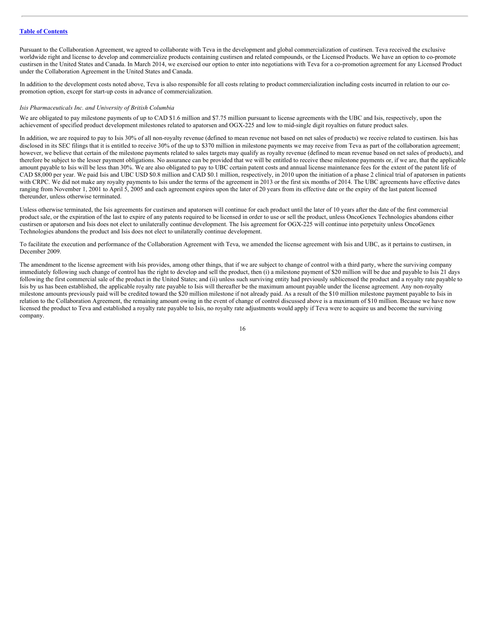Pursuant to the Collaboration Agreement, we agreed to collaborate with Teva in the development and global commercialization of custirsen. Teva received the exclusive worldwide right and license to develop and commercialize products containing custirsen and related compounds, or the Licensed Products. We have an option to co-promote custirsen in the United States and Canada. In March 2014, we exercised our option to enter into negotiations with Teva for a co-promotion agreement for any Licensed Product under the Collaboration Agreement in the United States and Canada.

In addition to the development costs noted above, Teva is also responsible for all costs relating to product commercialization including costs incurred in relation to our copromotion option, except for start-up costs in advance of commercialization.

#### *Isis Pharmaceuticals Inc. and University of British Columbia*

We are obligated to pay milestone payments of up to CAD \$1.6 million and \$7.75 million pursuant to license agreements with the UBC and Isis, respectively, upon the achievement of specified product development milestones related to apatorsen and OGX-225 and low to mid-single digit royalties on future product sales.

In addition, we are required to pay to Isis 30% of all non-royalty revenue (defined to mean revenue not based on net sales of products) we receive related to custirsen. Isis has disclosed in its SEC filings that it is entitled to receive 30% of the up to \$370 million in milestone payments we may receive from Teva as part of the collaboration agreement; however, we believe that certain of the milestone payments related to sales targets may qualify as royalty revenue (defined to mean revenue based on net sales of products), and therefore be subject to the lesser payment obligations. No assurance can be provided that we will be entitled to receive these milestone payments or, if we are, that the applicable amount payable to Isis will be less than 30%. We are also obligated to pay to UBC certain patent costs and annual license maintenance fees for the extent of the patent life of CAD \$8,000 per year. We paid Isis and UBC USD \$0.8 million and CAD \$0.1 million, respectively, in 2010 upon the initiation of a phase 2 clinical trial of apatorsen in patients with CRPC. We did not make any royalty payments to Isis under the terms of the agreement in 2013 or the first six months of 2014. The UBC agreements have effective dates ranging from November 1, 2001 to April 5, 2005 and each agreement expires upon the later of 20 years from its effective date or the expiry of the last patent licensed thereunder, unless otherwise terminated.

Unless otherwise terminated, the Isis agreements for custirsen and apatorsen will continue for each product until the later of 10 years after the date of the first commercial product sale, or the expiration of the last to expire of any patents required to be licensed in order to use or sell the product, unless OncoGenex Technologies abandons either custirsen or apatorsen and Isis does not elect to unilaterally continue development. The Isis agreement for OGX-225 will continue into perpetuity unless OncoGenex Technologies abandons the product and Isis does not elect to unilaterally continue development.

To facilitate the execution and performance of the Collaboration Agreement with Teva, we amended the license agreement with Isis and UBC, as it pertains to custirsen, in December 2009.

The amendment to the license agreement with Isis provides, among other things, that if we are subject to change of control with a third party, where the surviving company immediately following such change of control has the right to develop and sell the product, then (i) a milestone payment of \$20 million will be due and payable to Isis 21 days following the first commercial sale of the product in the United States; and (ii) unless such surviving entity had previously sublicensed the product and a royalty rate payable to Isis by us has been established, the applicable royalty rate payable to Isis will thereafter be the maximum amount payable under the license agreement. Any non-royalty milestone amounts previously paid will be credited toward the \$20 million milestone if not already paid. As a result of the \$10 million milestone payment payable to Isis in relation to the Collaboration Agreement, the remaining amount owing in the event of change of control discussed above is a maximum of \$10 million. Because we have now licensed the product to Teva and established a royalty rate payable to Isis, no royalty rate adjustments would apply if Teva were to acquire us and become the surviving company.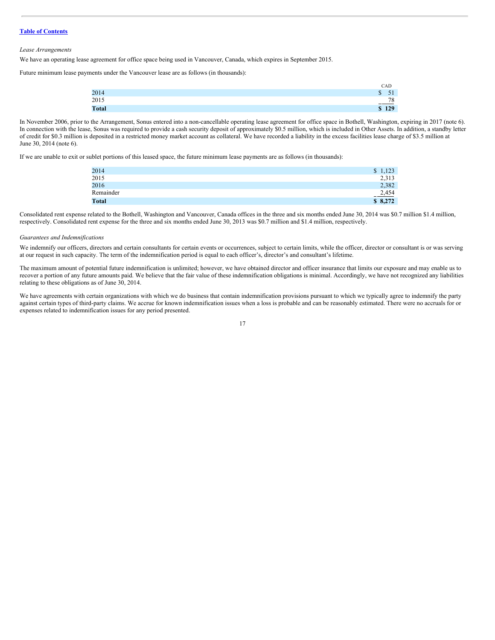#### *Lease Arrangements*

We have an operating lease agreement for office space being used in Vancouver, Canada, which expires in September 2015.

Future minimum lease payments under the Vancouver lease are as follows (in thousands):

|              | CAD                               |
|--------------|-----------------------------------|
| 2014         | $\sim$<br><sup>\$</sup><br>υı     |
| 2015         | 78<br>and the company's company's |
| <b>Total</b> | \$129                             |

In November 2006, prior to the Arrangement, Sonus entered into a non-cancellable operating lease agreement for office space in Bothell, Washington, expiring in 2017 (note 6). In connection with the lease, Sonus was required to provide a cash security deposit of approximately \$0.5 million, which is included in Other Assets. In addition, a standby letter of credit for \$0.3 million is deposited in a restricted money market account as collateral. We have recorded a liability in the excess facilities lease charge of \$3.5 million at June 30, 2014 (note 6).

If we are unable to exit or sublet portions of this leased space, the future minimum lease payments are as follows (in thousands):

| 2014         | \$1,123  |
|--------------|----------|
| 2015         | 2,313    |
| 2016         | 2,382    |
| Remainder    | $-2,454$ |
| <b>Total</b> | \$8,272  |

Consolidated rent expense related to the Bothell, Washington and Vancouver, Canada offices in the three and six months ended June 30, 2014 was \$0.7 million \$1.4 million, respectively. Consolidated rent expense for the three and six months ended June 30, 2013 was \$0.7 million and \$1.4 million, respectively.

#### *Guarantees and Indemnifications*

We indemnify our officers, directors and certain consultants for certain events or occurrences, subject to certain limits, while the officer, director or consultant is or was serving at our request in such capacity. The term of the indemnification period is equal to each officer's, director's and consultant's lifetime.

The maximum amount of potential future indemnification is unlimited; however, we have obtained director and officer insurance that limits our exposure and may enable us to recover a portion of any future amounts paid. We believe that the fair value of these indemnification obligations is minimal. Accordingly, we have not recognized any liabilities relating to these obligations as of June 30, 2014.

We have agreements with certain organizations with which we do business that contain indemnification provisions pursuant to which we typically agree to indemnify the party against certain types of third-party claims. We accrue for known indemnification issues when a loss is probable and can be reasonably estimated. There were no accruals for or expenses related to indemnification issues for any period presented.

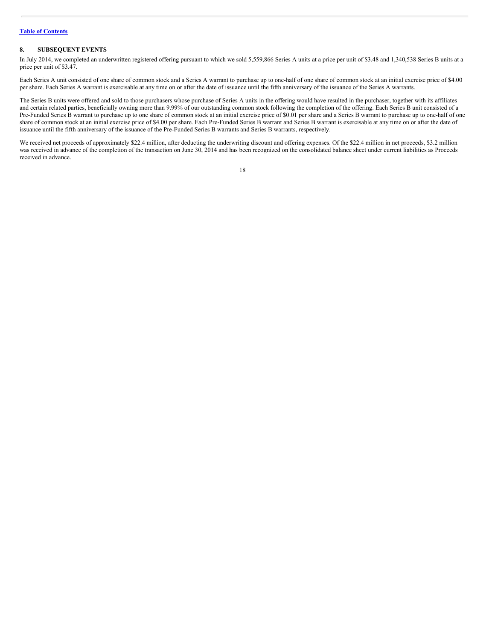# **8. SUBSEQUENT EVENTS**

In July 2014, we completed an underwritten registered offering pursuant to which we sold 5,559,866 Series A units at a price per unit of \$3.48 and 1,340,538 Series B units at a price per unit of \$3.47.

Each Series A unit consisted of one share of common stock and a Series A warrant to purchase up to one-half of one share of common stock at an initial exercise price of \$4.00 per share. Each Series A warrant is exercisable at any time on or after the date of issuance until the fifth anniversary of the issuance of the Series A warrants.

The Series B units were offered and sold to those purchasers whose purchase of Series A units in the offering would have resulted in the purchaser, together with its affiliates and certain related parties, beneficially owning more than 9.99% of our outstanding common stock following the completion of the offering. Each Series B unit consisted of a Pre-Funded Series B warrant to purchase up to one share of common stock at an initial exercise price of \$0.01 per share and a Series B warrant to purchase up to one-half of one share of common stock at an initial exercise price of \$4.00 per share. Each Pre-Funded Series B warrant and Series B warrant is exercisable at any time on or after the date of issuance until the fifth anniversary of the issuance of the Pre-Funded Series B warrants and Series B warrants, respectively.

We received net proceeds of approximately \$22.4 million, after deducting the underwriting discount and offering expenses. Of the \$22.4 million in net proceeds, \$3.2 million was received in advance of the completion of the transaction on June 30, 2014 and has been recognized on the consolidated balance sheet under current liabilities as Proceeds received in advance.

| I |
|---|
|   |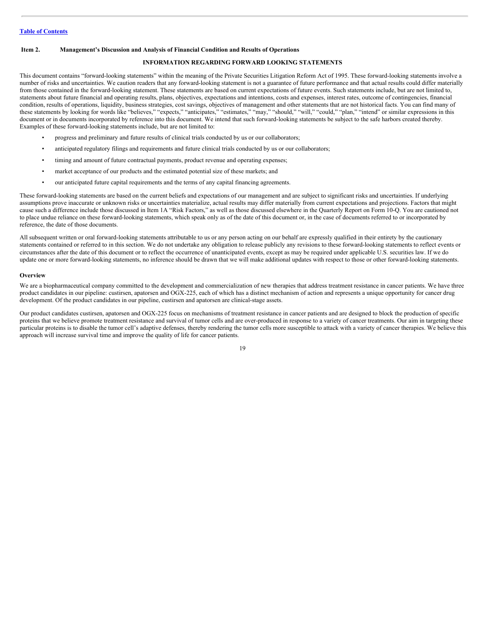# <span id="page-18-0"></span>**Item 2. Management's Discussion and Analysis of Financial Condition and Results of Operations**

# **INFORMATION REGARDING FORWARD LOOKING STATEMENTS**

This document contains "forward-looking statements" within the meaning of the Private Securities Litigation Reform Act of 1995. These forward-looking statements involve a number of risks and uncertainties. We caution readers that any forward-looking statement is not a guarantee of future performance and that actual results could differ materially from those contained in the forward-looking statement. These statements are based on current expectations of future events. Such statements include, but are not limited to, statements about future financial and operating results, plans, objectives, expectations and intentions, costs and expenses, interest rates, outcome of contingencies, financial condition, results of operations, liquidity, business strategies, cost savings, objectives of management and other statements that are not historical facts. You can find many of these statements by looking for words like "believes," "expects," "anticipates," "estimates," "may," "should," "will," "could," "plan," "intend" or similar expressions in this document or in documents incorporated by reference into this document. We intend that such forward-looking statements be subject to the safe harbors created thereby. Examples of these forward-looking statements include, but are not limited to:

- progress and preliminary and future results of clinical trials conducted by us or our collaborators;
- anticipated regulatory filings and requirements and future clinical trials conducted by us or our collaborators;
- timing and amount of future contractual payments, product revenue and operating expenses;
- market acceptance of our products and the estimated potential size of these markets; and
- our anticipated future capital requirements and the terms of any capital financing agreements.

These forward-looking statements are based on the current beliefs and expectations of our management and are subject to significant risks and uncertainties. If underlying assumptions prove inaccurate or unknown risks or uncertainties materialize, actual results may differ materially from current expectations and projections. Factors that might cause such a difference include those discussed in Item 1A "Risk Factors," as well as those discussed elsewhere in the Quarterly Report on Form 10-Q. You are cautioned not to place undue reliance on these forward-looking statements, which speak only as of the date of this document or, in the case of documents referred to or incorporated by reference, the date of those documents.

All subsequent written or oral forward-looking statements attributable to us or any person acting on our behalf are expressly qualified in their entirety by the cautionary statements contained or referred to in this section. We do not undertake any obligation to release publicly any revisions to these forward-looking statements to reflect events or circumstances after the date of this document or to reflect the occurrence of unanticipated events, except as may be required under applicable U.S. securities law. If we do update one or more forward-looking statements, no inference should be drawn that we will make additional updates with respect to those or other forward-looking statements.

#### **Overview**

We are a biopharmaceutical company committed to the development and commercialization of new therapies that address treatment resistance in cancer patients. We have three product candidates in our pipeline: custirsen, apatorsen and OGX-225, each of which has a distinct mechanism of action and represents a unique opportunity for cancer drug development. Of the product candidates in our pipeline, custirsen and apatorsen are clinical-stage assets.

Our product candidates custirsen, apatorsen and OGX-225 focus on mechanisms of treatment resistance in cancer patients and are designed to block the production of specific proteins that we believe promote treatment resistance and survival of tumor cells and are over-produced in response to a variety of cancer treatments. Our aim in targeting these particular proteins is to disable the tumor cell's adaptive defenses, thereby rendering the tumor cells more susceptible to attack with a variety of cancer therapies. We believe this approach will increase survival time and improve the quality of life for cancer patients.

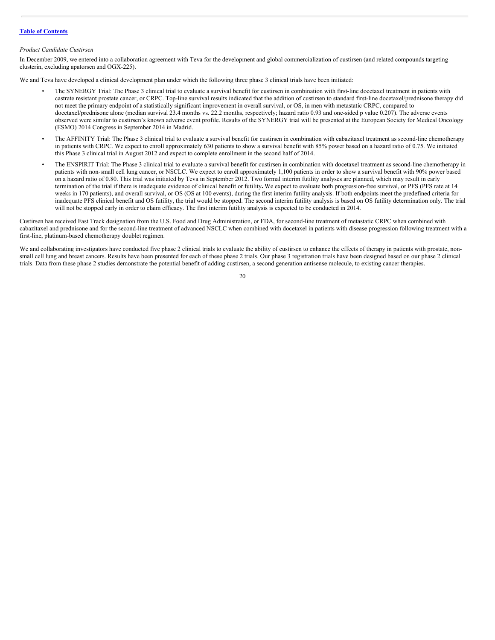# *Product Candidate Custirsen*

In December 2009, we entered into a collaboration agreement with Teva for the development and global commercialization of custirsen (and related compounds targeting clusterin, excluding apatorsen and OGX-225).

We and Teva have developed a clinical development plan under which the following three phase 3 clinical trials have been initiated:

- The SYNERGY Trial: The Phase 3 clinical trial to evaluate a survival benefit for custirsen in combination with first-line docetaxel treatment in patients with castrate resistant prostate cancer, or CRPC. Top-line survival results indicated that the addition of custirsen to standard first-line docetaxel/prednisone therapy did not meet the primary endpoint of a statistically significant improvement in overall survival, or OS, in men with metastatic CRPC, compared to docetaxel/prednisone alone (median survival 23.4 months vs. 22.2 months, respectively; hazard ratio 0.93 and one-sided p value 0.207). The adverse events observed were similar to custirsen's known adverse event profile. Results of the SYNERGY trial will be presented at the European Society for Medical Oncology (ESMO) 2014 Congress in September 2014 in Madrid.
- The AFFINITY Trial: The Phase 3 clinical trial to evaluate a survival benefit for custirsen in combination with cabazitaxel treatment as second-line chemotherapy in patients with CRPC. We expect to enroll approximately 630 patients to show a survival benefit with  $85\%$  power based on a hazard ratio of 0.75. We initiated this Phase 3 clinical trial in August 2012 and expect to complete enrollment in the second half of 2014.
- The ENSPIRIT Trial: The Phase 3 clinical trial to evaluate a survival benefit for custirsen in combination with docetaxel treatment as second-line chemotherapy in patients with non-small cell lung cancer, or NSCLC. We expect to enroll approximately 1,100 patients in order to show a survival benefit with 90% power based on a hazard ratio of 0.80. This trial was initiated by Teva in September 2012. Two formal interim futility analyses are planned, which may result in early termination of the trial if there is inadequate evidence of clinical benefit or futility**.** We expect to evaluate both progression-free survival, or PFS (PFS rate at 14 weeks in 170 patients), and overall survival, or OS (OS at 100 events), during the first interim futility analysis. If both endpoints meet the predefined criteria for inadequate PFS clinical benefit and OS futility, the trial would be stopped. The second interim futility analysis is based on OS futility determination only. The trial will not be stopped early in order to claim efficacy. The first interim futility analysis is expected to be conducted in 2014.

Custirsen has received Fast Track designation from the U.S. Food and Drug Administration, or FDA, for second-line treatment of metastatic CRPC when combined with cabazitaxel and prednisone and for the second-line treatment of advanced NSCLC when combined with docetaxel in patients with disease progression following treatment with a first-line, platinum-based chemotherapy doublet regimen.

We and collaborating investigators have conducted five phase 2 clinical trials to evaluate the ability of custirsen to enhance the effects of therapy in patients with prostate, nonsmall cell lung and breast cancers. Results have been presented for each of these phase 2 trials. Our phase 3 registration trials have been designed based on our phase 2 clinical trials. Data from these phase 2 studies demonstrate the potential benefit of adding custirsen, a second generation antisense molecule, to existing cancer therapies.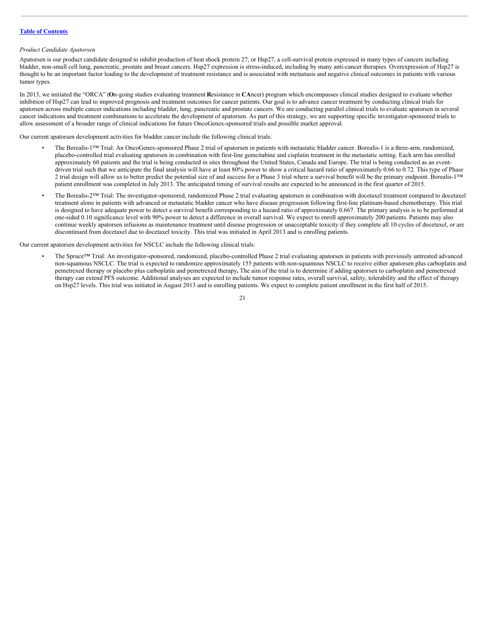# *Product Candidate Apatorsen*

Apatorsen is our product candidate designed to inhibit production of heat shock protein 27, or Hsp27, a cell-survival protein expressed in many types of cancers including bladder, non-small cell lung, pancreatic, prostate and breast cancers. Hsp27 expression is stress-induced, including by many anti-cancer therapies. Overexpression of Hsp27 is thought to be an important factor leading to the development of treatment resistance and is associated with metastasis and negative clinical outcomes in patients with various tumor types.

In 2013, we initiated the "ORCA" (**O**n-going studies evaluating treatment **R**esistance in **CA**ncer) program which encompasses clinical studies designed to evaluate whether inhibition of Hsp27 can lead to improved prognosis and treatment outcomes for cancer patients. Our goal is to advance cancer treatment by conducting clinical trials for apatorsen across multiple cancer indications including bladder, lung, pancreatic and prostate cancers. We are conducting parallel clinical trials to evaluate apatorsen in several cancer indications and treatment combinations to accelerate the development of apatorsen. As part of this strategy, we are supporting specific investigator-sponsored trials to allow assessment of a broader range of clinical indications for future OncoGenex-sponsored trials and possible market approval.

Our current apatorsen development activities for bladder cancer include the following clinical trials:

- The Borealis-1™ Trial: An OncoGenex-sponsored Phase 2 trial of apatorsen in patients with metastatic bladder cancer. Borealis-1 is a three-arm, randomized, placebo-controlled trial evaluating apatorsen in combination with first-line gemcitabine and cisplatin treatment in the metastatic setting. Each arm has enrolled approximately 60 patients and the trial is being conducted in sites throughout the United States, Canada and Europe. The trial is being conducted as an eventdriven trial such that we anticipate the final analysis will have at least 80% power to show a critical hazard ratio of approximately 0.66 to 0.72. This type of Phase 2 trial design will allow us to better predict the potential size of and success for a Phase 3 trial where a survival benefit will be the primary endpoint. Borealis-1™ patient enrollment was completed in July 2013. The anticipated timing of survival results are expected to be announced in the first quarter of 2015.
- The Borealis-2™ Trial: The investigator-sponsored, randomized Phase 2 trial evaluating apatorsen in combination with docetaxel treatment compared to docetaxel treatment alone in patients with advanced or metastatic bladder cancer who have disease progression following first-line platinum-based chemotherapy. This trial is designed to have adequate power to detect a survival benefit corresponding to a hazard ratio of approximately 0.667. The primary analysis is to be performed at one-sided 0.10 significance level with 90% power to detect a difference in overall survival. We expect to enroll approximately 200 patients. Patients may also continue weekly apatorsen infusions as maintenance treatment until disease progression or unacceptable toxicity if they complete all 10 cycles of docetaxel, or are discontinued from docetaxel due to docetaxel toxicity. This trial was initiated in April 2013 and is enrolling patients.

Our current apatorsen development activities for NSCLC include the following clinical trials:

• The Spruce™ Trial: An investigator-sponsored, randomized, placebo-controlled Phase 2 trial evaluating apatorsen in patients with previously untreated advanced non-squamous NSCLC. The trial is expected to randomize approximately 155 patients with non-squamous NSCLC to receive either apatorsen plus carboplatin and pemetrexed therapy or placebo plus carboplatin and pemetrexed therapy**.** The aim of the trial is to determine if adding apatorsen to carboplatin and pemetrexed therapy can extend PFS outcome. Additional analyses are expected to include tumor response rates, overall survival, safety, tolerability and the effect of therapy on Hsp27 levels. This trial was initiated in August 2013 and is enrolling patients. We expect to complete patient enrollment in the first half of 2015.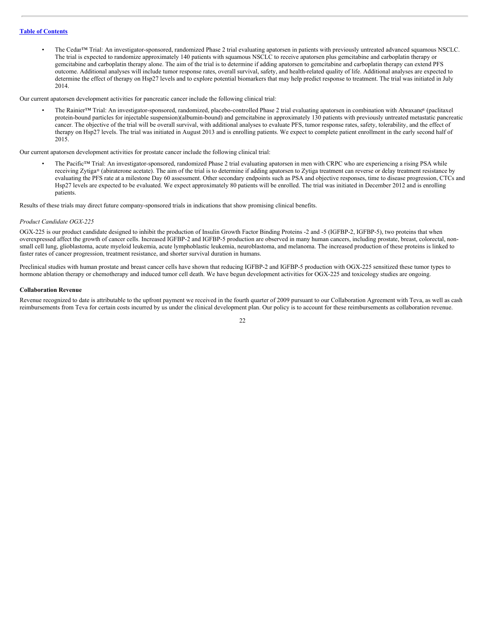• The Cedar™ Trial: An investigator-sponsored, randomized Phase 2 trial evaluating apatorsen in patients with previously untreated advanced squamous NSCLC. The trial is expected to randomize approximately 140 patients with squamous NSCLC to receive apatorsen plus gemcitabine and carboplatin therapy or gemcitabine and carboplatin therapy alone. The aim of the trial is to determine if adding apatorsen to gemcitabine and carboplatin therapy can extend PFS outcome. Additional analyses will include tumor response rates, overall survival, safety, and health-related quality of life. Additional analyses are expected to determine the effect of therapy on Hsp27 levels and to explore potential biomarkers that may help predict response to treatment. The trial was initiated in July 2014.

Our current apatorsen development activities for pancreatic cancer include the following clinical trial:

• The Rainier™ Trial: An investigator-sponsored, randomized, placebo-controlled Phase 2 trial evaluating apatorsen in combination with Abraxane® (paclitaxel protein-bound particles for injectable suspension)(albumin-bound) and gemcitabine in approximately 130 patients with previously untreated metastatic pancreatic cancer. The objective of the trial will be overall survival, with additional analyses to evaluate PFS, tumor response rates, safety, tolerability, and the effect of therapy on Hsp27 levels. The trial was initiated in August 2013 and is enrolling patients. We expect to complete patient enrollment in the early second half of 2015.

Our current apatorsen development activities for prostate cancer include the following clinical trial:

The Pacific™ Trial: An investigator-sponsored, randomized Phase 2 trial evaluating apatorsen in men with CRPC who are experiencing a rising PSA while receiving Zytiga® (abiraterone acetate). The aim of the trial is to determine if adding apatorsen to Zytiga treatment can reverse or delay treatment resistance by evaluating the PFS rate at a milestone Day 60 assessment. Other secondary endpoints such as PSA and objective responses, time to disease progression, CTCs and Hsp27 levels are expected to be evaluated. We expect approximately 80 patients will be enrolled. The trial was initiated in December 2012 and is enrolling patients.

Results of these trials may direct future company-sponsored trials in indications that show promising clinical benefits.

#### *Product Candidate OGX-225*

OGX-225 is our product candidate designed to inhibit the production of Insulin Growth Factor Binding Proteins -2 and -5 (IGFBP-2, IGFBP-5), two proteins that when overexpressed affect the growth of cancer cells. Increased IGFBP-2 and IGFBP-5 production are observed in many human cancers, including prostate, breast, colorectal, nonsmall cell lung, glioblastoma, acute myeloid leukemia, acute lymphoblastic leukemia, neuroblastoma, and melanoma. The increased production of these proteins is linked to faster rates of cancer progression, treatment resistance, and shorter survival duration in humans.

Preclinical studies with human prostate and breast cancer cells have shown that reducing IGFBP-2 and IGFBP-5 production with OGX-225 sensitized these tumor types to hormone ablation therapy or chemotherapy and induced tumor cell death. We have begun development activities for OGX-225 and toxicology studies are ongoing.

#### **Collaboration Revenue**

Revenue recognized to date is attributable to the upfront payment we received in the fourth quarter of 2009 pursuant to our Collaboration Agreement with Teva, as well as cash reimbursements from Teva for certain costs incurred by us under the clinical development plan. Our policy is to account for these reimbursements as collaboration revenue.

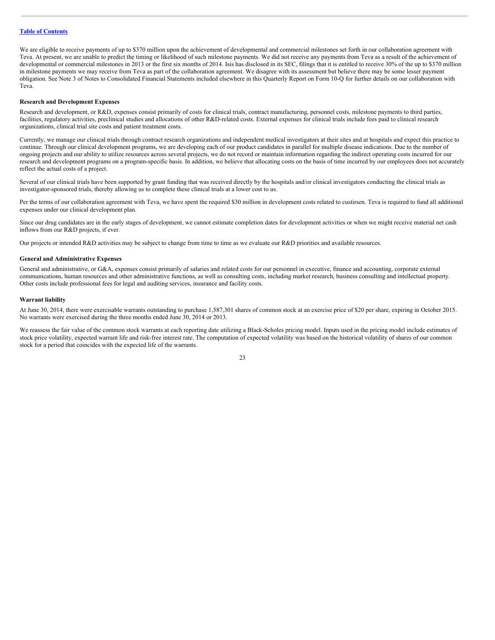We are eligible to receive payments of up to \$370 million upon the achievement of developmental and commercial milestones set forth in our collaboration agreement with Teva. At present, we are unable to predict the timing or likelihood of such milestone payments. We did not receive any payments from Teva as a result of the achievement of developmental or commercial milestones in 2013 or the first six months of 2014. Isis has disclosed in its SEC, filings that it is entitled to receive 30% of the up to \$370 million in milestone payments we may receive from Teva as part of the collaboration agreement. We disagree with its assessment but believe there may be some lesser payment obligation. See Note 3 of Notes to Consolidated Financial Statements included elsewhere in this Quarterly Report on Form 10-Q for further details on our collaboration with Teva.

# **Research and Development Expenses**

Research and development, or R&D, expenses consist primarily of costs for clinical trials, contract manufacturing, personnel costs, milestone payments to third parties, facilities, regulatory activities, preclinical studies and allocations of other R&D-related costs. External expenses for clinical trials include fees paid to clinical research organizations, clinical trial site costs and patient treatment costs.

Currently, we manage our clinical trials through contract research organizations and independent medical investigators at their sites and at hospitals and expect this practice to continue. Through our clinical development programs, we are developing each of our product candidates in parallel for multiple disease indications. Due to the number of ongoing projects and our ability to utilize resources across several projects, we do not record or maintain information regarding the indirect operating costs incurred for our research and development programs on a program-specific basis. In addition, we believe that allocating costs on the basis of time incurred by our employees does not accurately reflect the actual costs of a project.

Several of our clinical trials have been supported by grant funding that was received directly by the hospitals and/or clinical investigators conducting the clinical trials as investigator-sponsored trials, thereby allowing us to complete these clinical trials at a lower cost to us.

Per the terms of our collaboration agreement with Teva, we have spent the required \$30 million in development costs related to custirsen. Teva is required to fund all additional expenses under our clinical development plan.

Since our drug candidates are in the early stages of development, we cannot estimate completion dates for development activities or when we might receive material net cash inflows from our R&D projects, if ever.

Our projects or intended R&D activities may be subject to change from time to time as we evaluate our R&D priorities and available resources.

# **General and Administrative Expenses**

General and administrative, or G&A, expenses consist primarily of salaries and related costs for our personnel in executive, finance and accounting, corporate external communications, human resources and other administrative functions, as well as consulting costs, including market research, business consulting and intellectual property. Other costs include professional fees for legal and auditing services, insurance and facility costs.

#### **Warrant liability**

At June 30, 2014, there were exercisable warrants outstanding to purchase 1,587,301 shares of common stock at an exercise price of \$20 per share, expiring in October 2015. No warrants were exercised during the three months ended June 30, 2014 or 2013.

We reassess the fair value of the common stock warrants at each reporting date utilizing a Black-Scholes pricing model. Inputs used in the pricing model include estimates of stock price volatility, expected warrant life and risk-free interest rate. The computation of expected volatility was based on the historical volatility of shares of our common stock for a period that coincides with the expected life of the warrants.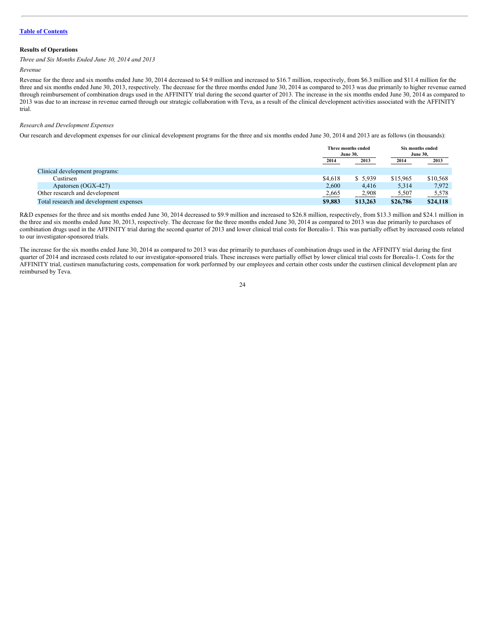# **Results of Operations**

*Three and Six Months Ended June 30, 2014 and 2013*

# *Revenue*

Revenue for the three and six months ended June 30, 2014 decreased to \$4.9 million and increased to \$16.7 million, respectively, from \$6.3 million and \$11.4 million for the three and six months ended June 30, 2013, respectively. The decrease for the three months ended June 30, 2014 as compared to 2013 was due primarily to higher revenue earned through reimbursement of combination drugs used in the AFFINITY trial during the second quarter of 2013. The increase in the six months ended June 30, 2014 as compared to 2013 was due to an increase in revenue earned through our strategic collaboration with Teva, as a result of the clinical development activities associated with the AFFINITY trial.

#### *Research and Development Expenses*

Our research and development expenses for our clinical development programs for the three and six months ended June 30, 2014 and 2013 are as follows (in thousands):

|                                         |         | Three months ended<br><b>June 30.</b> |          | Six months ended<br><b>June 30,</b> |  |
|-----------------------------------------|---------|---------------------------------------|----------|-------------------------------------|--|
|                                         | 2014    | 2013                                  | 2014     | <u>2013</u>                         |  |
| Clinical development programs:          |         |                                       |          |                                     |  |
| Custirsen                               | \$4,618 | \$5,939                               | \$15,965 | \$10,568                            |  |
| Apatorsen (OGX-427)                     | 2,600   | 4.416                                 | 5,314    | 7,972                               |  |
| Other research and development          | 2,665   | 2,908                                 | 5,507    | 5,578                               |  |
| Total research and development expenses | \$9,883 | \$13,263                              | \$26,786 | \$24,118                            |  |

R&D expenses for the three and six months ended June 30, 2014 decreased to \$9.9 million and increased to \$26.8 million, respectively, from \$13.3 million and \$24.1 million in the three and six months ended June 30, 2013, respectively. The decrease for the three months ended June 30, 2014 as compared to 2013 was due primarily to purchases of combination drugs used in the AFFINITY trial during the second quarter of 2013 and lower clinical trial costs for Borealis-1. This was partially offset by increased costs related to our investigator-sponsored trials.

The increase for the six months ended June 30, 2014 as compared to 2013 was due primarily to purchases of combination drugs used in the AFFINITY trial during the first quarter of 2014 and increased costs related to our investigator-sponsored trials. These increases were partially offset by lower clinical trial costs for Borealis-1. Costs for the AFFINITY trial, custirsen manufacturing costs, compensation for work performed by our employees and certain other costs under the custirsen clinical development plan are reimbursed by Teva.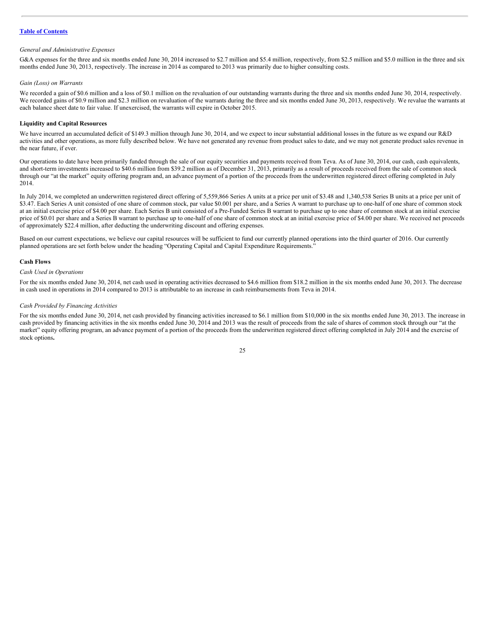#### *General and Administrative Expenses*

G&A expenses for the three and six months ended June 30, 2014 increased to \$2.7 million and \$5.4 million, respectively, from \$2.5 million and \$5.0 million in the three and six months ended June 30, 2013, respectively. The increase in 2014 as compared to 2013 was primarily due to higher consulting costs.

#### *Gain (Loss) on Warrants*

We recorded a gain of \$0.6 million and a loss of \$0.1 million on the revaluation of our outstanding warrants during the three and six months ended June 30, 2014, respectively. We recorded gains of \$0.9 million and \$2.3 million on revaluation of the warrants during the three and six months ended June 30, 2013, respectively. We revalue the warrants at each balance sheet date to fair value. If unexercised, the warrants will expire in October 2015.

# **Liquidity and Capital Resources**

We have incurred an accumulated deficit of \$149.3 million through June 30, 2014, and we expect to incur substantial additional losses in the future as we expand our R&D activities and other operations, as more fully described below. We have not generated any revenue from product sales to date, and we may not generate product sales revenue in the near future, if ever.

Our operations to date have been primarily funded through the sale of our equity securities and payments received from Teva. As of June 30, 2014, our cash, cash equivalents, and short-term investments increased to \$40.6 million from \$39.2 million as of December 31, 2013, primarily as a result of proceeds received from the sale of common stock through our "at the market" equity offering program and, an advance payment of a portion of the proceeds from the underwritten registered direct offering completed in July 2014.

In July 2014, we completed an underwritten registered direct offering of 5,559,866 Series A units at a price per unit of \$3.48 and 1,340,538 Series B units at a price per unit of \$3.47. Each Series A unit consisted of one share of common stock, par value \$0.001 per share, and a Series A warrant to purchase up to one-half of one share of common stock at an initial exercise price of \$4.00 per share. Each Series B unit consisted of a Pre-Funded Series B warrant to purchase up to one share of common stock at an initial exercise price of \$4.00 per share and a Series B warrant to purchase up to one-half of one share of common stock at an initial exercise price of \$4.00 per share. We received net proceeds of approximately \$22.4 million, after deducting the underwriting discount and offering expenses.

Based on our current expectations, we believe our capital resources will be sufficient to fund our currently planned operations into the third quarter of 2016. Our currently planned operations are set forth below under the heading "Operating Capital and Capital Expenditure Requirements."

# **Cash Flows**

#### *Cash Used in Operations*

For the six months ended June 30, 2014, net cash used in operating activities decreased to \$4.6 million from \$18.2 million in the six months ended June 30, 2013. The decrease in cash used in operations in 2014 compared to 2013 is attributable to an increase in cash reimbursements from Teva in 2014.

#### *Cash Provided by Financing Activities*

For the six months ended June 30, 2014, net cash provided by financing activities increased to \$6.1 million from \$10,000 in the six months ended June 30, 2013. The increase in cash provided by financing activities in the six months ended June 30, 2014 and 2013 was the result of proceeds from the sale of shares of common stock through our "at the market" equity offering program, an advance payment of a portion of the proceeds from the underwritten registered direct offering completed in July 2014 and the exercise of stock options**.**

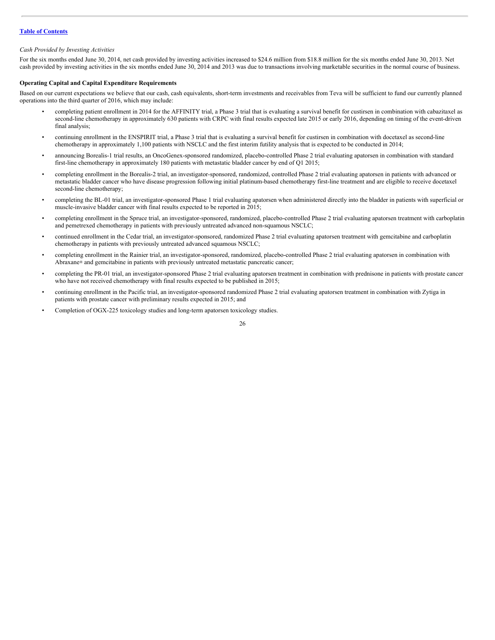# *Cash Provided by Investing Activities*

For the six months ended June 30, 2014, net cash provided by investing activities increased to \$24.6 million from \$18.8 million for the six months ended June 30, 2013. Net cash provided by investing activities in the six months ended June 30, 2014 and 2013 was due to transactions involving marketable securities in the normal course of business.

# **Operating Capital and Capital Expenditure Requirements**

Based on our current expectations we believe that our cash, cash equivalents, short-term investments and receivables from Teva will be sufficient to fund our currently planned operations into the third quarter of 2016, which may include:

- completing patient enrollment in 2014 for the AFFINITY trial, a Phase 3 trial that is evaluating a survival benefit for custirsen in combination with cabazitaxel as second-line chemotherapy in approximately 630 patients with CRPC with final results expected late 2015 or early 2016, depending on timing of the event-driven final analysis;
- continuing enrollment in the ENSPIRIT trial, a Phase 3 trial that is evaluating a survival benefit for custirsen in combination with docetaxel as second-line chemotherapy in approximately 1,100 patients with NSCLC and the first interim futility analysis that is expected to be conducted in 2014;
- announcing Borealis-1 trial results, an OncoGenex-sponsored randomized, placebo-controlled Phase 2 trial evaluating apatorsen in combination with standard first-line chemotherapy in approximately 180 patients with metastatic bladder cancer by end of Q1 2015;
- completing enrollment in the Borealis-2 trial, an investigator-sponsored, randomized, controlled Phase 2 trial evaluating apatorsen in patients with advanced or metastatic bladder cancer who have disease progression following initial platinum-based chemotherapy first-line treatment and are eligible to receive docetaxel second-line chemotherapy;
- completing the BL-01 trial, an investigator-sponsored Phase 1 trial evaluating apatorsen when administered directly into the bladder in patients with superficial or muscle-invasive bladder cancer with final results expected to be reported in 2015;
- completing enrollment in the Spruce trial, an investigator-sponsored, randomized, placebo-controlled Phase 2 trial evaluating apatorsen treatment with carboplatin and pemetrexed chemotherapy in patients with previously untreated advanced non-squamous NSCLC;
- continued enrollment in the Cedar trial, an investigator-sponsored, randomized Phase 2 trial evaluating apatorsen treatment with gemcitabine and carboplatin chemotherapy in patients with previously untreated advanced squamous NSCLC;
- completing enrollment in the Rainier trial, an investigator-sponsored, randomized, placebo-controlled Phase 2 trial evaluating apatorsen in combination with Abraxane® and gemcitabine in patients with previously untreated metastatic pancreatic cancer;
- completing the PR-01 trial, an investigator-sponsored Phase 2 trial evaluating apatorsen treatment in combination with prednisone in patients with prostate cancer who have not received chemotherapy with final results expected to be published in 2015;
- continuing enrollment in the Pacific trial, an investigator-sponsored randomized Phase 2 trial evaluating apatorsen treatment in combination with Zytiga in patients with prostate cancer with preliminary results expected in 2015; and
- Completion of OGX-225 toxicology studies and long-term apatorsen toxicology studies.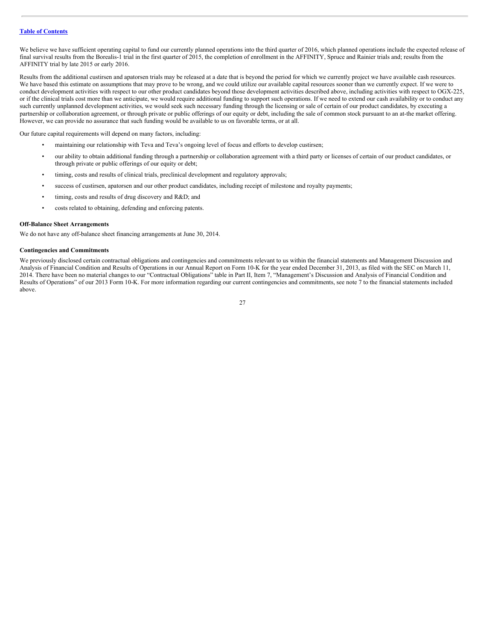We believe we have sufficient operating capital to fund our currently planned operations into the third quarter of 2016, which planned operations include the expected release of final survival results from the Borealis-1 trial in the first quarter of 2015, the completion of enrollment in the AFFINITY, Spruce and Rainier trials and; results from the AFFINITY trial by late 2015 or early 2016.

Results from the additional custirsen and apatorsen trials may be released at a date that is beyond the period for which we currently project we have available cash resources. We have based this estimate on assumptions that may prove to be wrong, and we could utilize our available capital resources sooner than we currently expect. If we were to conduct development activities with respect to our other product candidates beyond those development activities described above, including activities with respect to OGX-225, or if the clinical trials cost more than we anticipate, we would require additional funding to support such operations. If we need to extend our cash availability or to conduct any such currently unplanned development activities, we would seek such necessary funding through the licensing or sale of certain of our product candidates, by executing a partnership or collaboration agreement, or through private or public offerings of our equity or debt, including the sale of common stock pursuant to an at-the market offering. However, we can provide no assurance that such funding would be available to us on favorable terms, or at all.

Our future capital requirements will depend on many factors, including:

- maintaining our relationship with Teva and Teva's ongoing level of focus and efforts to develop custirsen;
- our ability to obtain additional funding through a partnership or collaboration agreement with a third party or licenses of certain of our product candidates, or through private or public offerings of our equity or debt;
- timing, costs and results of clinical trials, preclinical development and regulatory approvals;
- success of custirsen, apatorsen and our other product candidates, including receipt of milestone and royalty payments;
- timing, costs and results of drug discovery and R&D; and
- costs related to obtaining, defending and enforcing patents.

#### **Off-Balance Sheet Arrangements**

We do not have any off-balance sheet financing arrangements at June 30, 2014.

# **Contingencies and Commitments**

We previously disclosed certain contractual obligations and contingencies and commitments relevant to us within the financial statements and Management Discussion and Analysis of Financial Condition and Results of Operations in our Annual Report on Form 10-K for the year ended December 31, 2013, as filed with the SEC on March 11, 2014. There have been no material changes to our "Contractual Obligations" table in Part II, Item 7, "Management's Discussion and Analysis of Financial Condition and Results of Operations" of our 2013 Form 10-K. For more information regarding our current contingencies and commitments, see note 7 to the financial statements included above.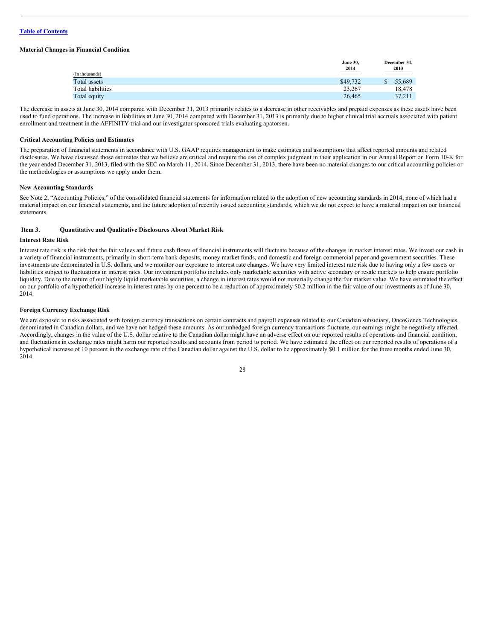# **Material Changes in Financial Condition**

|                   | <b>June 30,</b><br>2014 |    | December 31,<br>2013 |
|-------------------|-------------------------|----|----------------------|
| (In thousands)    |                         |    |                      |
| Total assets      | \$49,732                | S. | 55,689               |
| Total liabilities | 23.267                  |    | 18.478               |
| Total equity      | 26.465                  |    | 37.211               |

The decrease in assets at June 30, 2014 compared with December 31, 2013 primarily relates to a decrease in other receivables and prepaid expenses as these assets have been used to fund operations. The increase in liabilities at June 30, 2014 compared with December 31, 2013 is primarily due to higher clinical trial accruals associated with patient enrollment and treatment in the AFFINITY trial and our investigator sponsored trials evaluating apatorsen.

#### **Critical Accounting Policies and Estimates**

The preparation of financial statements in accordance with U.S. GAAP requires management to make estimates and assumptions that affect reported amounts and related disclosures. We have discussed those estimates that we believe are critical and require the use of complex judgment in their application in our Annual Report on Form 10-K for the year ended December 31, 2013, filed with the SEC on March 11, 2014. Since December 31, 2013, there have been no material changes to our critical accounting policies or the methodologies or assumptions we apply under them.

# **New Accounting Standards**

See Note 2, "Accounting Policies," of the consolidated financial statements for information related to the adoption of new accounting standards in 2014, none of which had a material impact on our financial statements, and the future adoption of recently issued accounting standards, which we do not expect to have a material impact on our financial statements.

# <span id="page-27-0"></span>**Item 3. Quantitative and Qualitative Disclosures About Market Risk**

#### **Interest Rate Risk**

Interest rate risk is the risk that the fair values and future cash flows of financial instruments will fluctuate because of the changes in market interest rates. We invest our cash in a variety of financial instruments, primarily in short-term bank deposits, money market funds, and domestic and foreign commercial paper and government securities. These investments are denominated in U.S. dollars, and we monitor our exposure to interest rate changes. We have very limited interest rate risk due to having only a few assets or liabilities subject to fluctuations in interest rates. Our investment portfolio includes only marketable securities with active secondary or resale markets to help ensure portfolio liquidity. Due to the nature of our highly liquid marketable securities, a change in interest rates would not materially change the fair market value. We have estimated the effect on our portfolio of a hypothetical increase in interest rates by one percent to be a reduction of approximately \$0.2 million in the fair value of our investments as of June 30, 2014.

# **Foreign Currency Exchange Risk**

We are exposed to risks associated with foreign currency transactions on certain contracts and payroll expenses related to our Canadian subsidiary, OncoGenex Technologies, denominated in Canadian dollars, and we have not hedged these amounts. As our unhedged foreign currency transactions fluctuate, our earnings might be negatively affected. Accordingly, changes in the value of the U.S. dollar relative to the Canadian dollar might have an adverse effect on our reported results of operations and financial condition, and fluctuations in exchange rates might harm our reported results and accounts from period to period. We have estimated the effect on our reported results of operations of a hypothetical increase of 10 percent in the exchange rate of the Canadian dollar against the U.S. dollar to be approximately \$0.1 million for the three months ended June 30, 2014.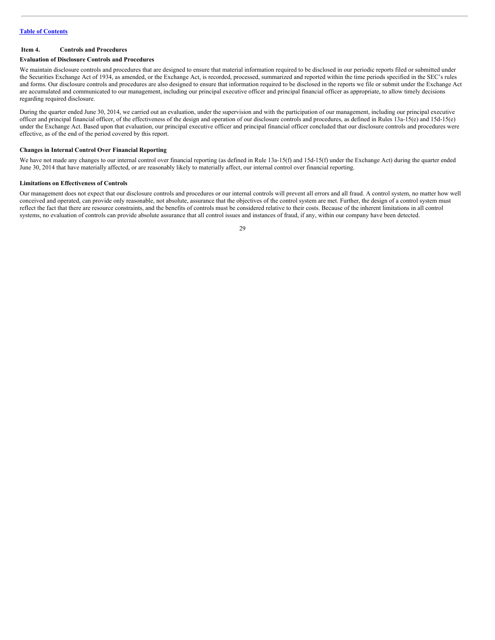# <span id="page-28-0"></span>**Item 4. Controls and Procedures**

#### **Evaluation of Disclosure Controls and Procedures**

We maintain disclosure controls and procedures that are designed to ensure that material information required to be disclosed in our periodic reports filed or submitted under the Securities Exchange Act of 1934, as amended, or the Exchange Act, is recorded, processed, summarized and reported within the time periods specified in the SEC's rules and forms. Our disclosure controls and procedures are also designed to ensure that information required to be disclosed in the reports we file or submit under the Exchange Act are accumulated and communicated to our management, including our principal executive officer and principal financial officer as appropriate, to allow timely decisions regarding required disclosure.

During the quarter ended June 30, 2014, we carried out an evaluation, under the supervision and with the participation of our management, including our principal executive officer and principal financial officer, of the effectiveness of the design and operation of our disclosure controls and procedures, as defined in Rules 13a-15(e) and 15d-15(e) under the Exchange Act. Based upon that evaluation, our principal executive officer and principal financial officer concluded that our disclosure controls and procedures were effective, as of the end of the period covered by this report.

# **Changes in Internal Control Over Financial Reporting**

We have not made any changes to our internal control over financial reporting (as defined in Rule 13a-15(f) and 15d-15(f) under the Exchange Act) during the quarter ended June 30, 2014 that have materially affected, or are reasonably likely to materially affect, our internal control over financial reporting.

# **Limitations on Effectiveness of Controls**

Our management does not expect that our disclosure controls and procedures or our internal controls will prevent all errors and all fraud. A control system, no matter how well conceived and operated, can provide only reasonable, not absolute, assurance that the objectives of the control system are met. Further, the design of a control system must reflect the fact that there are resource constraints, and the benefits of controls must be considered relative to their costs. Because of the inherent limitations in all control systems, no evaluation of controls can provide absolute assurance that all control issues and instances of fraud, if any, within our company have been detected.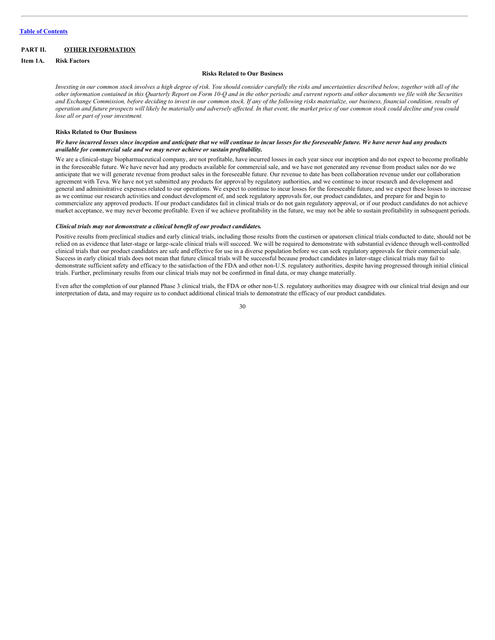# <span id="page-29-0"></span>**PART II. OTHER INFORMATION**

# <span id="page-29-1"></span>**Item 1A. Risk Factors**

#### **Risks Related to Our Business**

Investing in our common stock involves a high degree of risk. You should consider carefully the risks and uncertainties described below, together with all of the other information contained in this Quarterly Report on Form 10-Q and in the other periodic and current reports and other documents we file with the Securities and Exchange Commission, before deciding to invest in our common stock. If any of the following risks materialize, our business, financial condition, results of operation and future prospects will likely be materially and adversely affected. In that event, the market price of our common stock could decline and you could *lose all or part of your investment.*

# **Risks Related to Our Business**

# We have incurred losses since inception and anticipate that we will continue to incur losses for the foreseeable future. We have never had any products *available for commercial sale and we may never achieve or sustain profitability.*

We are a clinical-stage biopharmaceutical company, are not profitable, have incurred losses in each year since our inception and do not expect to become profitable in the foreseeable future. We have never had any products available for commercial sale, and we have not generated any revenue from product sales nor do we anticipate that we will generate revenue from product sales in the foreseeable future. Our revenue to date has been collaboration revenue under our collaboration agreement with Teva. We have not yet submitted any products for approval by regulatory authorities, and we continue to incur research and development and general and administrative expenses related to our operations. We expect to continue to incur losses for the foreseeable future, and we expect these losses to increase as we continue our research activities and conduct development of, and seek regulatory approvals for, our product candidates, and prepare for and begin to commercialize any approved products. If our product candidates fail in clinical trials or do not gain regulatory approval, or if our product candidates do not achieve market acceptance, we may never become profitable. Even if we achieve profitability in the future, we may not be able to sustain profitability in subsequent periods.

# *Clinical trials may not demonstrate a clinical benefit of our product candidates.*

Positive results from preclinical studies and early clinical trials, including those results from the custirsen or apatorsen clinical trials conducted to date, should not be relied on as evidence that later-stage or large-scale clinical trials will succeed. We will be required to demonstrate with substantial evidence through well-controlled clinical trials that our product candidates are safe and effective for use in a diverse population before we can seek regulatory approvals for their commercial sale. Success in early clinical trials does not mean that future clinical trials will be successful because product candidates in later-stage clinical trials may fail to demonstrate sufficient safety and efficacy to the satisfaction of the FDA and other non-U.S. regulatory authorities, despite having progressed through initial clinical trials. Further, preliminary results from our clinical trials may not be confirmed in final data, or may change materially.

Even after the completion of our planned Phase 3 clinical trials, the FDA or other non-U.S. regulatory authorities may disagree with our clinical trial design and our interpretation of data, and may require us to conduct additional clinical trials to demonstrate the efficacy of our product candidates.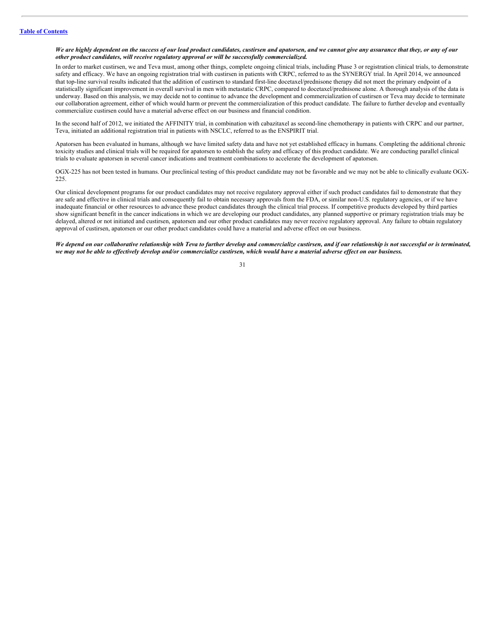# We are highly dependent on the success of our lead product candidates, custirsen and apatorsen, and we cannot give any assurance that they, or any of our *other product candidates, will receive regulatory approval or will be successfully commercialized.*

In order to market custirsen, we and Teva must, among other things, complete ongoing clinical trials, including Phase 3 or registration clinical trials, to demonstrate safety and efficacy. We have an ongoing registration trial with custirsen in patients with CRPC, referred to as the SYNERGY trial. In April 2014, we announced that top-line survival results indicated that the addition of custirsen to standard first-line docetaxel/prednisone therapy did not meet the primary endpoint of a statistically significant improvement in overall survival in men with metastatic CRPC, compared to docetaxel/prednisone alone. A thorough analysis of the data is underway. Based on this analysis, we may decide not to continue to advance the development and commercialization of custirsen or Teva may decide to terminate our collaboration agreement, either of which would harm or prevent the commercialization of this product candidate. The failure to further develop and eventually commercialize custirsen could have a material adverse effect on our business and financial condition.

In the second half of 2012, we initiated the AFFINITY trial, in combination with cabazitaxel as second-line chemotherapy in patients with CRPC and our partner, Teva, initiated an additional registration trial in patients with NSCLC, referred to as the ENSPIRIT trial.

Apatorsen has been evaluated in humans, although we have limited safety data and have not yet established efficacy in humans. Completing the additional chronic toxicity studies and clinical trials will be required for apatorsen to establish the safety and efficacy of this product candidate. We are conducting parallel clinical trials to evaluate apatorsen in several cancer indications and treatment combinations to accelerate the development of apatorsen.

OGX-225 has not been tested in humans. Our preclinical testing of this product candidate may not be favorable and we may not be able to clinically evaluate OGX-225.

Our clinical development programs for our product candidates may not receive regulatory approval either if such product candidates fail to demonstrate that they are safe and effective in clinical trials and consequently fail to obtain necessary approvals from the FDA, or similar non-U.S. regulatory agencies, or if we have inadequate financial or other resources to advance these product candidates through the clinical trial process. If competitive products developed by third parties show significant benefit in the cancer indications in which we are developing our product candidates, any planned supportive or primary registration trials may be delayed, altered or not initiated and custirsen, apatorsen and our other product candidates may never receive regulatory approval. Any failure to obtain regulatory approval of custirsen, apatorsen or our other product candidates could have a material and adverse effect on our business.

#### We depend on our collaborative relationship with Teva to further develop and commercialize custirsen, and if our relationship is not successful or is terminated, we may not be able to effectively develop and/or commercialize custirsen, which would have a material adverse effect on our business.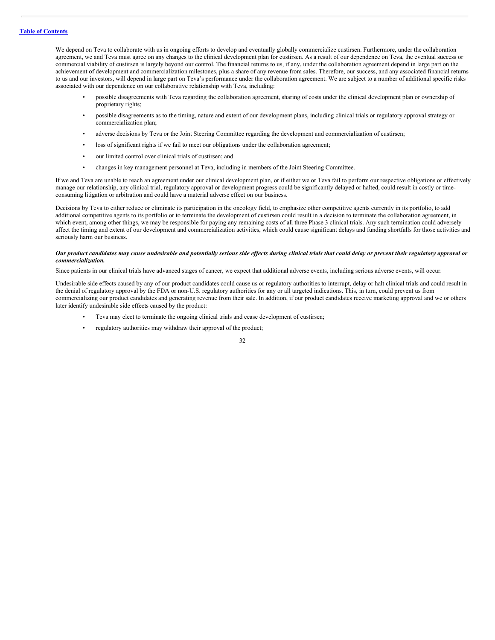We depend on Teva to collaborate with us in ongoing efforts to develop and eventually globally commercialize custirsen. Furthermore, under the collaboration agreement, we and Teva must agree on any changes to the clinical development plan for custirsen. As a result of our dependence on Teva, the eventual success or commercial viability of custirsen is largely beyond our control. The financial returns to us, if any, under the collaboration agreement depend in large part on the achievement of development and commercialization milestones, plus a share of any revenue from sales. Therefore, our success, and any associated financial returns to us and our investors, will depend in large part on Teva's performance under the collaboration agreement. We are subject to a number of additional specific risks associated with our dependence on our collaborative relationship with Teva, including:

- possible disagreements with Teva regarding the collaboration agreement, sharing of costs under the clinical development plan or ownership of proprietary rights;
- possible disagreements as to the timing, nature and extent of our development plans, including clinical trials or regulatory approval strategy or commercialization plan;
- adverse decisions by Teva or the Joint Steering Committee regarding the development and commercialization of custirsen;
- loss of significant rights if we fail to meet our obligations under the collaboration agreement;
- our limited control over clinical trials of custirsen; and
- changes in key management personnel at Teva, including in members of the Joint Steering Committee.

If we and Teva are unable to reach an agreement under our clinical development plan, or if either we or Teva fail to perform our respective obligations or effectively manage our relationship, any clinical trial, regulatory approval or development progress could be significantly delayed or halted, could result in costly or timeconsuming litigation or arbitration and could have a material adverse effect on our business.

Decisions by Teva to either reduce or eliminate its participation in the oncology field, to emphasize other competitive agents currently in its portfolio, to add additional competitive agents to its portfolio or to terminate the development of custirsen could result in a decision to terminate the collaboration agreement, in which event, among other things, we may be responsible for paying any remaining costs of all three Phase 3 clinical trials. Any such termination could adversely affect the timing and extent of our development and commercialization activities, which could cause significant delays and funding shortfalls for those activities and seriously harm our business.

# Our product candidates may cause undesirable and potentially serious side effects during clinical trials that could delay or prevent their regulatory approval or *commercialization.*

Since patients in our clinical trials have advanced stages of cancer, we expect that additional adverse events, including serious adverse events, will occur.

Undesirable side effects caused by any of our product candidates could cause us or regulatory authorities to interrupt, delay or halt clinical trials and could result in the denial of regulatory approval by the FDA or non-U.S. regulatory authorities for any or all targeted indications. This, in turn, could prevent us from commercializing our product candidates and generating revenue from their sale. In addition, if our product candidates receive marketing approval and we or others later identify undesirable side effects caused by the product:

- Teva may elect to terminate the ongoing clinical trials and cease development of custirsen;
- regulatory authorities may withdraw their approval of the product;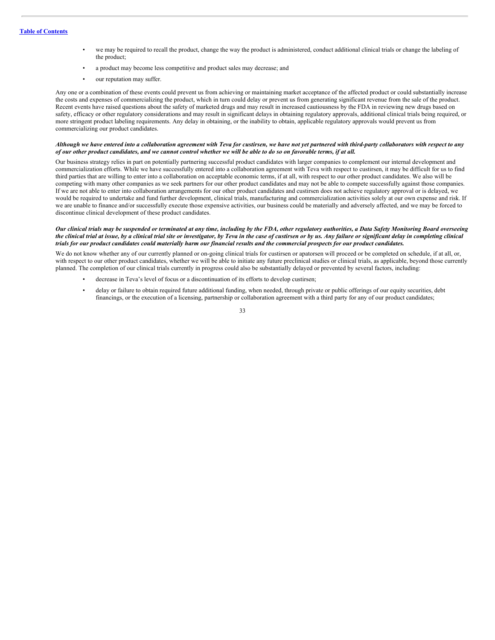- we may be required to recall the product, change the way the product is administered, conduct additional clinical trials or change the labeling of the product;
- a product may become less competitive and product sales may decrease; and
	- our reputation may suffer.

Any one or a combination of these events could prevent us from achieving or maintaining market acceptance of the affected product or could substantially increase the costs and expenses of commercializing the product, which in turn could delay or prevent us from generating significant revenue from the sale of the product. Recent events have raised questions about the safety of marketed drugs and may result in increased cautiousness by the FDA in reviewing new drugs based on safety, efficacy or other regulatory considerations and may result in significant delays in obtaining regulatory approvals, additional clinical trials being required, or more stringent product labeling requirements. Any delay in obtaining, or the inability to obtain, applicable regulatory approvals would prevent us from commercializing our product candidates.

#### Although we have entered into a collaboration agreement with Teva for custirsen, we have not yet partnered with third-party collaborators with respect to any of our other product candidates, and we cannot control whether we will be able to do so on favorable terms, if at all.

Our business strategy relies in part on potentially partnering successful product candidates with larger companies to complement our internal development and commercialization efforts. While we have successfully entered into a collaboration agreement with Teva with respect to custirsen, it may be difficult for us to find third parties that are willing to enter into a collaboration on acceptable economic terms, if at all, with respect to our other product candidates. We also will be competing with many other companies as we seek partners for our other product candidates and may not be able to compete successfully against those companies. If we are not able to enter into collaboration arrangements for our other product candidates and custirsen does not achieve regulatory approval or is delayed, we would be required to undertake and fund further development, clinical trials, manufacturing and commercialization activities solely at our own expense and risk. If we are unable to finance and/or successfully execute those expensive activities, our business could be materially and adversely affected, and we may be forced to discontinue clinical development of these product candidates.

#### Our clinical trials may be suspended or terminated at any time, including by the FDA, other regulatory authorities, a Data Safety Monitoring Board overseeing the clinical trial at issue, by a clinical trial site or investigator, by Teva in the case of custirsen or by us. Any failure or significant delay in completing clinical trials for our product candidates could materially harm our financial results and the commercial prospects for our product candidates.

We do not know whether any of our currently planned or on-going clinical trials for custirsen or apatorsen will proceed or be completed on schedule, if at all, or, with respect to our other product candidates, whether we will be able to initiate any future preclinical studies or clinical trials, as applicable, beyond those currently planned. The completion of our clinical trials currently in progress could also be substantially delayed or prevented by several factors, including:

- decrease in Teva's level of focus or a discontinuation of its efforts to develop custirsen;
- delay or failure to obtain required future additional funding, when needed, through private or public offerings of our equity securities, debt financings, or the execution of a licensing, partnership or collaboration agreement with a third party for any of our product candidates;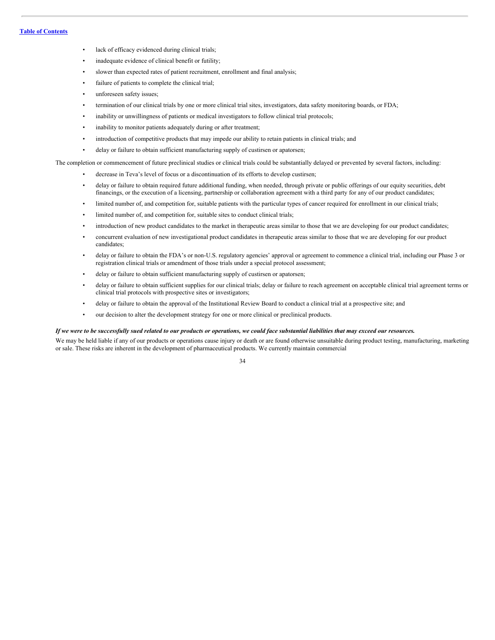- lack of efficacy evidenced during clinical trials;
- inadequate evidence of clinical benefit or futility;
- slower than expected rates of patient recruitment, enrollment and final analysis;
- failure of patients to complete the clinical trial;
- unforeseen safety issues;
- termination of our clinical trials by one or more clinical trial sites, investigators, data safety monitoring boards, or FDA;
- inability or unwillingness of patients or medical investigators to follow clinical trial protocols;
- inability to monitor patients adequately during or after treatment;
- introduction of competitive products that may impede our ability to retain patients in clinical trials; and
- delay or failure to obtain sufficient manufacturing supply of custirsen or apatorsen;

The completion or commencement of future preclinical studies or clinical trials could be substantially delayed or prevented by several factors, including:

- decrease in Teva's level of focus or a discontinuation of its efforts to develop custirsen;
- delay or failure to obtain required future additional funding, when needed, through private or public offerings of our equity securities, debt financings, or the execution of a licensing, partnership or collaboration agreement with a third party for any of our product candidates;
- limited number of, and competition for, suitable patients with the particular types of cancer required for enrollment in our clinical trials;
- limited number of, and competition for, suitable sites to conduct clinical trials;
- introduction of new product candidates to the market in therapeutic areas similar to those that we are developing for our product candidates;
- concurrent evaluation of new investigational product candidates in therapeutic areas similar to those that we are developing for our product candidates;
- delay or failure to obtain the FDA's or non-U.S. regulatory agencies' approval or agreement to commence a clinical trial, including our Phase 3 or registration clinical trials or amendment of those trials under a special protocol assessment;
- delay or failure to obtain sufficient manufacturing supply of custirsen or apatorsen;
- delay or failure to obtain sufficient supplies for our clinical trials; delay or failure to reach agreement on acceptable clinical trial agreement terms or clinical trial protocols with prospective sites or investigators;
- delay or failure to obtain the approval of the Institutional Review Board to conduct a clinical trial at a prospective site; and
- our decision to alter the development strategy for one or more clinical or preclinical products.

#### If we were to be successfully sued related to our products or operations, we could face substantial liabilities that may exceed our resources.

We may be held liable if any of our products or operations cause injury or death or are found otherwise unsuitable during product testing, manufacturing, marketing or sale. These risks are inherent in the development of pharmaceutical products. We currently maintain commercial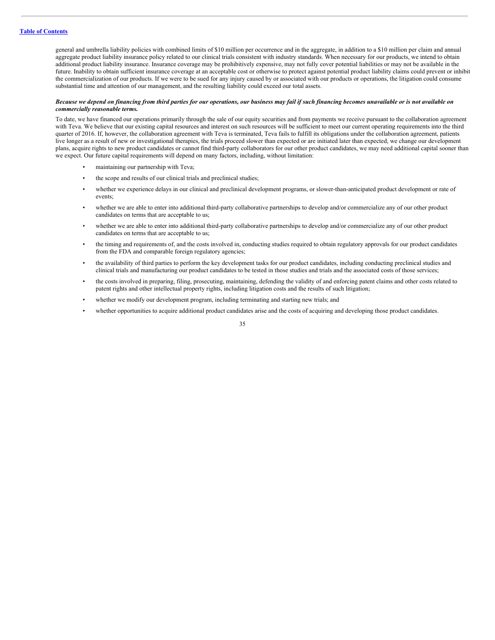general and umbrella liability policies with combined limits of \$10 million per occurrence and in the aggregate, in addition to a \$10 million per claim and annual aggregate product liability insurance policy related to our clinical trials consistent with industry standards. When necessary for our products, we intend to obtain additional product liability insurance. Insurance coverage may be prohibitively expensive, may not fully cover potential liabilities or may not be available in the future. Inability to obtain sufficient insurance coverage at an acceptable cost or otherwise to protect against potential product liability claims could prevent or inhibit the commercialization of our products. If we were to be sued for any injury caused by or associated with our products or operations, the litigation could consume substantial time and attention of our management, and the resulting liability could exceed our total assets.

# Because we depend on financing from third parties for our operations, our business may fail if such financing becomes unavailable or is not available on *commercially reasonable terms.*

To date, we have financed our operations primarily through the sale of our equity securities and from payments we receive pursuant to the collaboration agreement with Teva. We believe that our existing capital resources and interest on such resources will be sufficient to meet our current operating requirements into the third quarter of 2016. If, however, the collaboration agreement with Teva is terminated, Teva fails to fulfill its obligations under the collaboration agreement, patients live longer as a result of new or investigational therapies, the trials proceed slower than expected or are initiated later than expected, we change our development plans, acquire rights to new product candidates or cannot find third-party collaborators for our other product candidates, we may need additional capital sooner than we expect. Our future capital requirements will depend on many factors, including, without limitation:

- maintaining our partnership with Teva;
- the scope and results of our clinical trials and preclinical studies;
- whether we experience delays in our clinical and preclinical development programs, or slower-than-anticipated product development or rate of events;
- whether we are able to enter into additional third-party collaborative partnerships to develop and/or commercialize any of our other product candidates on terms that are acceptable to us;
- whether we are able to enter into additional third-party collaborative partnerships to develop and/or commercialize any of our other product candidates on terms that are acceptable to us;
- the timing and requirements of, and the costs involved in, conducting studies required to obtain regulatory approvals for our product candidates from the FDA and comparable foreign regulatory agencies;
- the availability of third parties to perform the key development tasks for our product candidates, including conducting preclinical studies and clinical trials and manufacturing our product candidates to be tested in those studies and trials and the associated costs of those services;
- the costs involved in preparing, filing, prosecuting, maintaining, defending the validity of and enforcing patent claims and other costs related to patent rights and other intellectual property rights, including litigation costs and the results of such litigation;
- whether we modify our development program, including terminating and starting new trials; and
- whether opportunities to acquire additional product candidates arise and the costs of acquiring and developing those product candidates.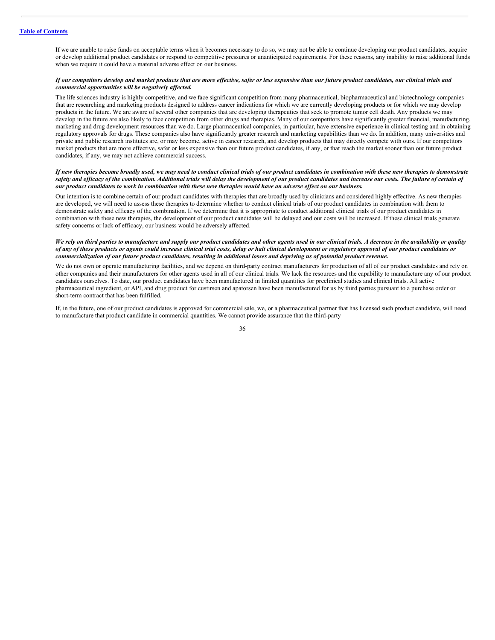If we are unable to raise funds on acceptable terms when it becomes necessary to do so, we may not be able to continue developing our product candidates, acquire or develop additional product candidates or respond to competitive pressures or unanticipated requirements. For these reasons, any inability to raise additional funds when we require it could have a material adverse effect on our business.

#### If our competitors develop and market products that are more effective, safer or less expensive than our future product candidates, our clinical trials and *commercial opportunities will be negatively af ected.*

The life sciences industry is highly competitive, and we face significant competition from many pharmaceutical, biopharmaceutical and biotechnology companies that are researching and marketing products designed to address cancer indications for which we are currently developing products or for which we may develop products in the future. We are aware of several other companies that are developing therapeutics that seek to promote tumor cell death. Any products we may develop in the future are also likely to face competition from other drugs and therapies. Many of our competitors have significantly greater financial, manufacturing, marketing and drug development resources than we do. Large pharmaceutical companies, in particular, have extensive experience in clinical testing and in obtaining regulatory approvals for drugs. These companies also have significantly greater research and marketing capabilities than we do. In addition, many universities and private and public research institutes are, or may become, active in cancer research, and develop products that may directly compete with ours. If our competitors market products that are more effective, safer or less expensive than our future product candidates, if any, or that reach the market sooner than our future product candidates, if any, we may not achieve commercial success.

# If new therapies become broadly used, we may need to conduct clinical trials of our product candidates in combination with these new therapies to demonstrate safety and efficacy of the combination. Additional trials will delay the development of our product candidates and increase our costs. The failure of certain of our product candidates to work in combination with these new therapies would have an adverse effect on our business.

Our intention is to combine certain of our product candidates with therapies that are broadly used by clinicians and considered highly effective. As new therapies are developed, we will need to assess these therapies to determine whether to conduct clinical trials of our product candidates in combination with them to demonstrate safety and efficacy of the combination. If we determine that it is appropriate to conduct additional clinical trials of our product candidates in combination with these new therapies, the development of our product candidates will be delayed and our costs will be increased. If these clinical trials generate safety concerns or lack of efficacy, our business would be adversely affected.

# We rely on third parties to manufacture and supply our product candidates and other agents used in our clinical trials. A decrease in the availability or quality of any of these products or agents could increase clinical trial costs, delay or halt clinical development or regulatory approval of our product candidates or commercialization of our future product candidates, resulting in additional losses and depriving us of potential product revenue.

We do not own or operate manufacturing facilities, and we depend on third-party contract manufacturers for production of all of our product candidates and rely on other companies and their manufacturers for other agents used in all of our clinical trials. We lack the resources and the capability to manufacture any of our product candidates ourselves. To date, our product candidates have been manufactured in limited quantities for preclinical studies and clinical trials. All active pharmaceutical ingredient, or API, and drug product for custirsen and apatorsen have been manufactured for us by third parties pursuant to a purchase order or short-term contract that has been fulfilled.

If, in the future, one of our product candidates is approved for commercial sale, we, or a pharmaceutical partner that has licensed such product candidate, will need to manufacture that product candidate in commercial quantities. We cannot provide assurance that the third-party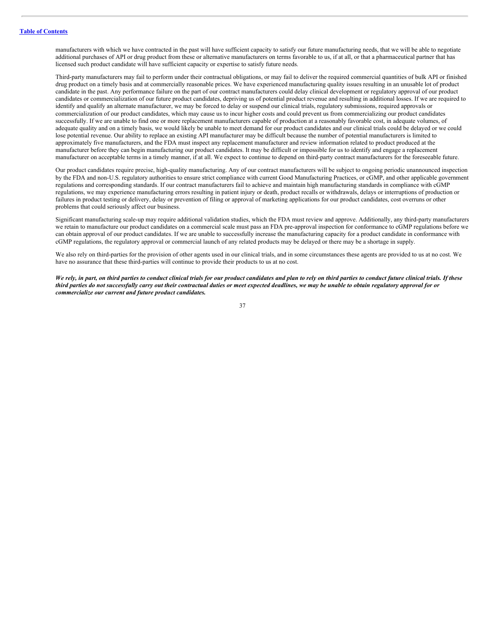manufacturers with which we have contracted in the past will have sufficient capacity to satisfy our future manufacturing needs, that we will be able to negotiate additional purchases of API or drug product from these or alternative manufacturers on terms favorable to us, if at all, or that a pharmaceutical partner that has licensed such product candidate will have sufficient capacity or expertise to satisfy future needs.

Third-party manufacturers may fail to perform under their contractual obligations, or may fail to deliver the required commercial quantities of bulk API or finished drug product on a timely basis and at commercially reasonable prices. We have experienced manufacturing quality issues resulting in an unusable lot of product candidate in the past. Any performance failure on the part of our contract manufacturers could delay clinical development or regulatory approval of our product candidates or commercialization of our future product candidates, depriving us of potential product revenue and resulting in additional losses. If we are required to identify and qualify an alternate manufacturer, we may be forced to delay or suspend our clinical trials, regulatory submissions, required approvals or commercialization of our product candidates, which may cause us to incur higher costs and could prevent us from commercializing our product candidates successfully. If we are unable to find one or more replacement manufacturers capable of production at a reasonably favorable cost, in adequate volumes, of adequate quality and on a timely basis, we would likely be unable to meet demand for our product candidates and our clinical trials could be delayed or we could lose potential revenue. Our ability to replace an existing API manufacturer may be difficult because the number of potential manufacturers is limited to approximately five manufacturers, and the FDA must inspect any replacement manufacturer and review information related to product produced at the manufacturer before they can begin manufacturing our product candidates. It may be difficult or impossible for us to identify and engage a replacement manufacturer on acceptable terms in a timely manner, if at all. We expect to continue to depend on third-party contract manufacturers for the foreseeable future.

Our product candidates require precise, high-quality manufacturing. Any of our contract manufacturers will be subject to ongoing periodic unannounced inspection by the FDA and non-U.S. regulatory authorities to ensure strict compliance with current Good Manufacturing Practices, or cGMP, and other applicable government regulations and corresponding standards. If our contract manufacturers fail to achieve and maintain high manufacturing standards in compliance with cGMP regulations, we may experience manufacturing errors resulting in patient injury or death, product recalls or withdrawals, delays or interruptions of production or failures in product testing or delivery, delay or prevention of filing or approval of marketing applications for our product candidates, cost overruns or other problems that could seriously affect our business.

Significant manufacturing scale-up may require additional validation studies, which the FDA must review and approve. Additionally, any third-party manufacturers we retain to manufacture our product candidates on a commercial scale must pass an FDA pre-approval inspection for conformance to cGMP regulations before we can obtain approval of our product candidates. If we are unable to successfully increase the manufacturing capacity for a product candidate in conformance with cGMP regulations, the regulatory approval or commercial launch of any related products may be delayed or there may be a shortage in supply.

We also rely on third-parties for the provision of other agents used in our clinical trials, and in some circumstances these agents are provided to us at no cost. We have no assurance that these third-parties will continue to provide their products to us at no cost.

We rely, in part, on third parties to conduct clinical trials for our product candidates and plan to rely on third parties to conduct future clinical trials. If these third parties do not successfully carry out their contractual duties or meet expected deadlines, we may be unable to obtain regulatory approval for or *commercialize our current and future product candidates.*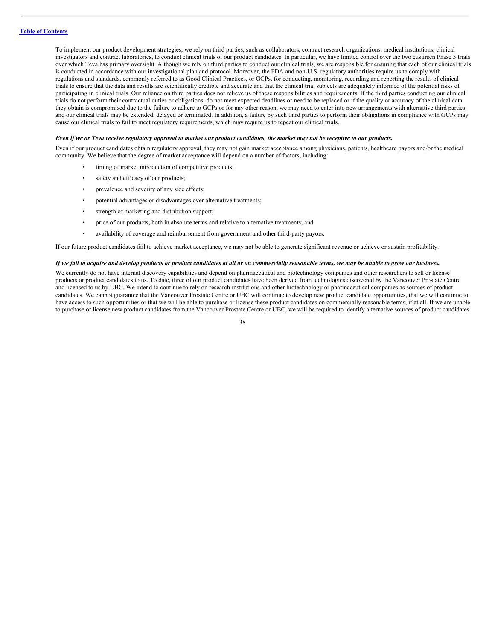To implement our product development strategies, we rely on third parties, such as collaborators, contract research organizations, medical institutions, clinical investigators and contract laboratories, to conduct clinical trials of our product candidates. In particular, we have limited control over the two custirsen Phase 3 trials over which Teva has primary oversight. Although we rely on third parties to conduct our clinical trials, we are responsible for ensuring that each of our clinical trials is conducted in accordance with our investigational plan and protocol. Moreover, the FDA and non-U.S. regulatory authorities require us to comply with regulations and standards, commonly referred to as Good Clinical Practices, or GCPs, for conducting, monitoring, recording and reporting the results of clinical trials to ensure that the data and results are scientifically credible and accurate and that the clinical trial subjects are adequately informed of the potential risks of participating in clinical trials. Our reliance on third parties does not relieve us of these responsibilities and requirements. If the third parties conducting our clinical trials do not perform their contractual duties or obligations, do not meet expected deadlines or need to be replaced or if the quality or accuracy of the clinical data they obtain is compromised due to the failure to adhere to GCPs or for any other reason, we may need to enter into new arrangements with alternative third parties and our clinical trials may be extended, delayed or terminated. In addition, a failure by such third parties to perform their obligations in compliance with GCPs may cause our clinical trials to fail to meet regulatory requirements, which may require us to repeat our clinical trials.

#### Even if we or Teva receive regulatory approval to market our product candidates, the market may not be receptive to our products.

Even if our product candidates obtain regulatory approval, they may not gain market acceptance among physicians, patients, healthcare payors and/or the medical community. We believe that the degree of market acceptance will depend on a number of factors, including:

- timing of market introduction of competitive products;
- safety and efficacy of our products;
- prevalence and severity of any side effects;
- potential advantages or disadvantages over alternative treatments;
- strength of marketing and distribution support;
- price of our products, both in absolute terms and relative to alternative treatments; and
- availability of coverage and reimbursement from government and other third-party payors.

If our future product candidates fail to achieve market acceptance, we may not be able to generate significant revenue or achieve or sustain profitability.

# If we fail to acquire and develop products or product candidates at all or on commercially reasonable terms, we may be unable to grow our business.

We currently do not have internal discovery capabilities and depend on pharmaceutical and biotechnology companies and other researchers to sell or license products or product candidates to us. To date, three of our product candidates have been derived from technologies discovered by the Vancouver Prostate Centre and licensed to us by UBC. We intend to continue to rely on research institutions and other biotechnology or pharmaceutical companies as sources of product candidates. We cannot guarantee that the Vancouver Prostate Centre or UBC will continue to develop new product candidate opportunities, that we will continue to have access to such opportunities or that we will be able to purchase or license these product candidates on commercially reasonable terms, if at all. If we are unable to purchase or license new product candidates from the Vancouver Prostate Centre or UBC, we will be required to identify alternative sources of product candidates.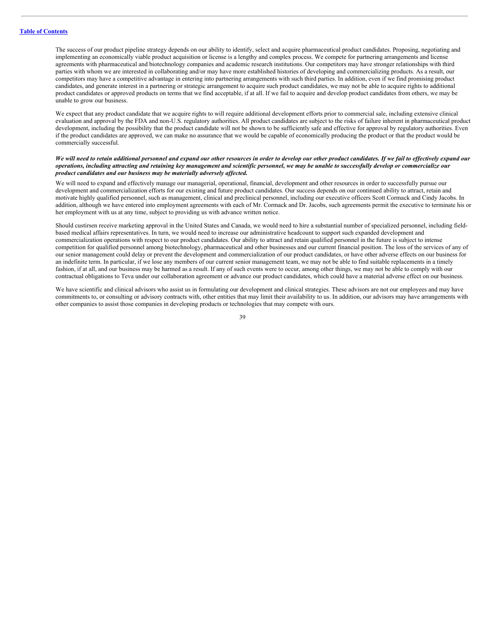The success of our product pipeline strategy depends on our ability to identify, select and acquire pharmaceutical product candidates. Proposing, negotiating and implementing an economically viable product acquisition or license is a lengthy and complex process. We compete for partnering arrangements and license agreements with pharmaceutical and biotechnology companies and academic research institutions. Our competitors may have stronger relationships with third parties with whom we are interested in collaborating and/or may have more established histories of developing and commercializing products. As a result, our competitors may have a competitive advantage in entering into partnering arrangements with such third parties. In addition, even if we find promising product candidates, and generate interest in a partnering or strategic arrangement to acquire such product candidates, we may not be able to acquire rights to additional product candidates or approved products on terms that we find acceptable, if at all. If we fail to acquire and develop product candidates from others, we may be unable to grow our business.

We expect that any product candidate that we acquire rights to will require additional development efforts prior to commercial sale, including extensive clinical evaluation and approval by the FDA and non-U.S. regulatory authorities. All product candidates are subject to the risks of failure inherent in pharmaceutical product development, including the possibility that the product candidate will not be shown to be sufficiently safe and effective for approval by regulatory authorities. Even if the product candidates are approved, we can make no assurance that we would be capable of economically producing the product or that the product would be commercially successful.

# We will need to retain additional personnel and expand our other resources in order to develop our other product candidates. If we fail to effectively expand our operations, including attracting and retaining key management and scientific personnel, we may be unable to successfully develop or commercialize our *product candidates and our business may be materially adversely af ected.*

We will need to expand and effectively manage our managerial, operational, financial, development and other resources in order to successfully pursue our development and commercialization efforts for our existing and future product candidates. Our success depends on our continued ability to attract, retain and motivate highly qualified personnel, such as management, clinical and preclinical personnel, including our executive officers Scott Cormack and Cindy Jacobs. In addition, although we have entered into employment agreements with each of Mr. Cormack and Dr. Jacobs, such agreements permit the executive to terminate his or her employment with us at any time, subject to providing us with advance written notice.

Should custirsen receive marketing approval in the United States and Canada, we would need to hire a substantial number of specialized personnel, including fieldbased medical affairs representatives. In turn, we would need to increase our administrative headcount to support such expanded development and commercialization operations with respect to our product candidates. Our ability to attract and retain qualified personnel in the future is subject to intense competition for qualified personnel among biotechnology, pharmaceutical and other businesses and our current financial position. The loss of the services of any of our senior management could delay or prevent the development and commercialization of our product candidates, or have other adverse effects on our business for an indefinite term. In particular, if we lose any members of our current senior management team, we may not be able to find suitable replacements in a timely fashion, if at all, and our business may be harmed as a result. If any of such events were to occur, among other things, we may not be able to comply with our contractual obligations to Teva under our collaboration agreement or advance our product candidates, which could have a material adverse effect on our business.

We have scientific and clinical advisors who assist us in formulating our development and clinical strategies. These advisors are not our employees and may have commitments to, or consulting or advisory contracts with, other entities that may limit their availability to us. In addition, our advisors may have arrangements with other companies to assist those companies in developing products or technologies that may compete with ours.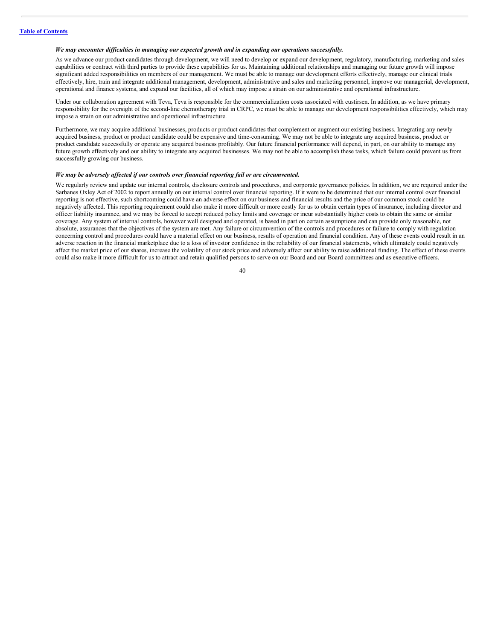# *We may encounter dif iculties in managing our expected growth and in expanding our operations successfully.*

As we advance our product candidates through development, we will need to develop or expand our development, regulatory, manufacturing, marketing and sales capabilities or contract with third parties to provide these capabilities for us. Maintaining additional relationships and managing our future growth will impose significant added responsibilities on members of our management. We must be able to manage our development efforts effectively, manage our clinical trials effectively, hire, train and integrate additional management, development, administrative and sales and marketing personnel, improve our managerial, development, operational and finance systems, and expand our facilities, all of which may impose a strain on our administrative and operational infrastructure.

Under our collaboration agreement with Teva, Teva is responsible for the commercialization costs associated with custirsen. In addition, as we have primary responsibility for the oversight of the second-line chemotherapy trial in CRPC, we must be able to manage our development responsibilities effectively, which may impose a strain on our administrative and operational infrastructure.

Furthermore, we may acquire additional businesses, products or product candidates that complement or augment our existing business. Integrating any newly acquired business, product or product candidate could be expensive and time-consuming. We may not be able to integrate any acquired business, product or product candidate successfully or operate any acquired business profitably. Our future financial performance will depend, in part, on our ability to manage any future growth effectively and our ability to integrate any acquired businesses. We may not be able to accomplish these tasks, which failure could prevent us from successfully growing our business.

# *We may be adversely af ected if our controls over financial reporting fail or are circumvented.*

We regularly review and update our internal controls, disclosure controls and procedures, and corporate governance policies. In addition, we are required under the Sarbanes Oxley Act of 2002 to report annually on our internal control over financial reporting. If it were to be determined that our internal control over financial reporting is not effective, such shortcoming could have an adverse effect on our business and financial results and the price of our common stock could be negatively affected. This reporting requirement could also make it more difficult or more costly for us to obtain certain types of insurance, including director and officer liability insurance, and we may be forced to accept reduced policy limits and coverage or incur substantially higher costs to obtain the same or similar coverage. Any system of internal controls, however well designed and operated, is based in part on certain assumptions and can provide only reasonable, not absolute, assurances that the objectives of the system are met. Any failure or circumvention of the controls and procedures or failure to comply with regulation concerning control and procedures could have a material effect on our business, results of operation and financial condition. Any of these events could result in an adverse reaction in the financial marketplace due to a loss of investor confidence in the reliability of our financial statements, which ultimately could negatively affect the market price of our shares, increase the volatility of our stock price and adversely affect our ability to raise additional funding. The effect of these events could also make it more difficult for us to attract and retain qualified persons to serve on our Board and our Board committees and as executive officers.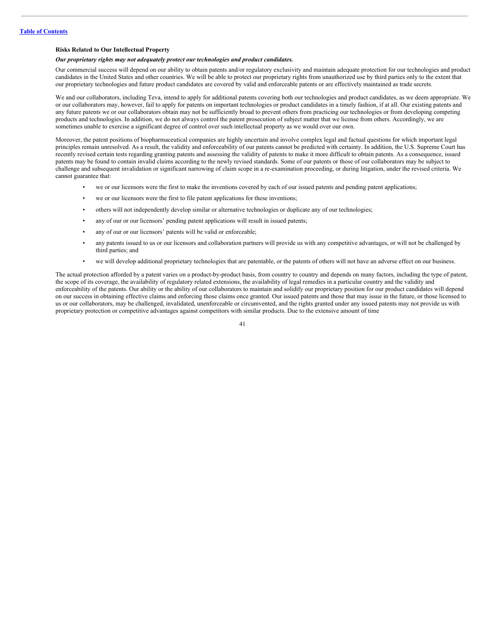# **Risks Related to Our Intellectual Property**

#### *Our proprietary rights may not adequately protect our technologies and product candidates.*

Our commercial success will depend on our ability to obtain patents and/or regulatory exclusivity and maintain adequate protection for our technologies and product candidates in the United States and other countries. We will be able to protect our proprietary rights from unauthorized use by third parties only to the extent that our proprietary technologies and future product candidates are covered by valid and enforceable patents or are effectively maintained as trade secrets.

We and our collaborators, including Teva, intend to apply for additional patents covering both our technologies and product candidates, as we deem appropriate. We or our collaborators may, however, fail to apply for patents on important technologies or product candidates in a timely fashion, if at all. Our existing patents and any future patents we or our collaborators obtain may not be sufficiently broad to prevent others from practicing our technologies or from developing competing products and technologies. In addition, we do not always control the patent prosecution of subject matter that we license from others. Accordingly, we are sometimes unable to exercise a significant degree of control over such intellectual property as we would over our own.

Moreover, the patent positions of biopharmaceutical companies are highly uncertain and involve complex legal and factual questions for which important legal principles remain unresolved. As a result, the validity and enforceability of our patents cannot be predicted with certainty. In addition, the U.S. Supreme Court has recently revised certain tests regarding granting patents and assessing the validity of patents to make it more difficult to obtain patents. As a consequence, issued patents may be found to contain invalid claims according to the newly revised standards. Some of our patents or those of our collaborators may be subject to challenge and subsequent invalidation or significant narrowing of claim scope in a re-examination proceeding, or during litigation, under the revised criteria. We cannot guarantee that:

- we or our licensors were the first to make the inventions covered by each of our issued patents and pending patent applications;
- we or our licensors were the first to file patent applications for these inventions;
- others will not independently develop similar or alternative technologies or duplicate any of our technologies;
- any of our or our licensors' pending patent applications will result in issued patents;
- any of our or our licensors' patents will be valid or enforceable;
- any patents issued to us or our licensors and collaboration partners will provide us with any competitive advantages, or will not be challenged by third parties; and
- we will develop additional proprietary technologies that are patentable, or the patents of others will not have an adverse effect on our business.

The actual protection afforded by a patent varies on a product-by-product basis, from country to country and depends on many factors, including the type of patent, the scope of its coverage, the availability of regulatory related extensions, the availability of legal remedies in a particular country and the validity and enforceability of the patents. Our ability or the ability of our collaborators to maintain and solidify our proprietary position for our product candidates will depend on our success in obtaining effective claims and enforcing those claims once granted. Our issued patents and those that may issue in the future, or those licensed to us or our collaborators, may be challenged, invalidated, unenforceable or circumvented, and the rights granted under any issued patents may not provide us with proprietary protection or competitive advantages against competitors with similar products. Due to the extensive amount of time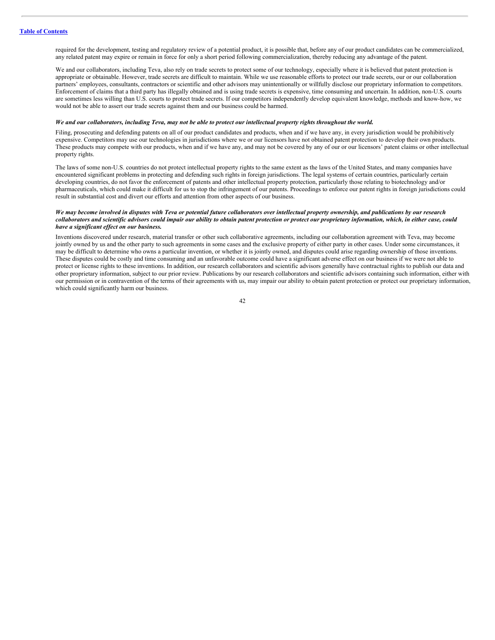required for the development, testing and regulatory review of a potential product, it is possible that, before any of our product candidates can be commercialized, any related patent may expire or remain in force for only a short period following commercialization, thereby reducing any advantage of the patent.

We and our collaborators, including Teva, also rely on trade secrets to protect some of our technology, especially where it is believed that patent protection is appropriate or obtainable. However, trade secrets are difficult to maintain. While we use reasonable efforts to protect our trade secrets, our or our collaboration partners' employees, consultants, contractors or scientific and other advisors may unintentionally or willfully disclose our proprietary information to competitors. Enforcement of claims that a third party has illegally obtained and is using trade secrets is expensive, time consuming and uncertain. In addition, non-U.S. courts are sometimes less willing than U.S. courts to protect trade secrets. If our competitors independently develop equivalent knowledge, methods and know-how, we would not be able to assert our trade secrets against them and our business could be harmed.

#### We and our collaborators, including Teva, may not be able to protect our intellectual property rights throughout the world.

Filing, prosecuting and defending patents on all of our product candidates and products, when and if we have any, in every jurisdiction would be prohibitively expensive. Competitors may use our technologies in jurisdictions where we or our licensors have not obtained patent protection to develop their own products. These products may compete with our products, when and if we have any, and may not be covered by any of our or our licensors' patent claims or other intellectual property rights.

The laws of some non-U.S. countries do not protect intellectual property rights to the same extent as the laws of the United States, and many companies have encountered significant problems in protecting and defending such rights in foreign jurisdictions. The legal systems of certain countries, particularly certain developing countries, do not favor the enforcement of patents and other intellectual property protection, particularly those relating to biotechnology and/or pharmaceuticals, which could make it difficult for us to stop the infringement of our patents. Proceedings to enforce our patent rights in foreign jurisdictions could result in substantial cost and divert our efforts and attention from other aspects of our business.

# We may become involved in disputes with Teva or potential future collaborators over intellectual property ownership, and publications by our research collaborators and scientific advisors could impair our ability to obtain patent protection or protect our proprietary information, which, in either case, could *have a significant ef ect on our business.*

Inventions discovered under research, material transfer or other such collaborative agreements, including our collaboration agreement with Teva, may become jointly owned by us and the other party to such agreements in some cases and the exclusive property of either party in other cases. Under some circumstances, it may be difficult to determine who owns a particular invention, or whether it is jointly owned, and disputes could arise regarding ownership of those inventions. These disputes could be costly and time consuming and an unfavorable outcome could have a significant adverse effect on our business if we were not able to protect or license rights to these inventions. In addition, our research collaborators and scientific advisors generally have contractual rights to publish our data and other proprietary information, subject to our prior review. Publications by our research collaborators and scientific advisors containing such information, either with our permission or in contravention of the terms of their agreements with us, may impair our ability to obtain patent protection or protect our proprietary information, which could significantly harm our business.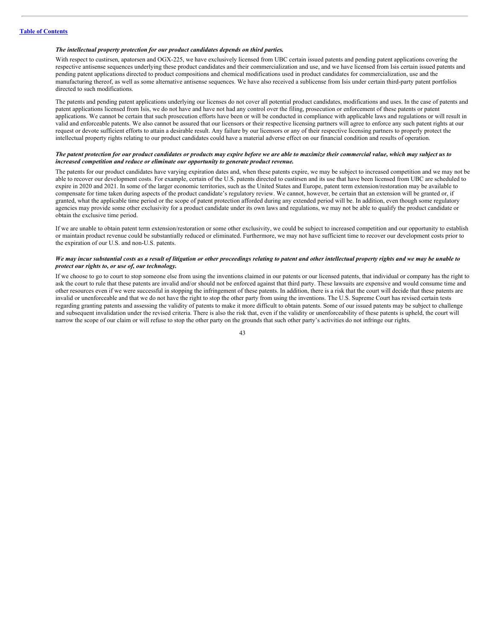# *The intellectual property protection for our product candidates depends on third parties.*

With respect to custirsen, apatorsen and OGX-225, we have exclusively licensed from UBC certain issued patents and pending patent applications covering the respective antisense sequences underlying these product candidates and their commercialization and use, and we have licensed from Isis certain issued patents and pending patent applications directed to product compositions and chemical modifications used in product candidates for commercialization, use and the manufacturing thereof, as well as some alternative antisense sequences. We have also received a sublicense from Isis under certain third-party patent portfolios directed to such modifications.

The patents and pending patent applications underlying our licenses do not cover all potential product candidates, modifications and uses. In the case of patents and patent applications licensed from Isis, we do not have and have not had any control over the filing, prosecution or enforcement of these patents or patent applications. We cannot be certain that such prosecution efforts have been or will be conducted in compliance with applicable laws and regulations or will result in valid and enforceable patents. We also cannot be assured that our licensors or their respective licensing partners will agree to enforce any such patent rights at our request or devote sufficient efforts to attain a desirable result. Any failure by our licensors or any of their respective licensing partners to properly protect the intellectual property rights relating to our product candidates could have a material adverse effect on our financial condition and results of operation.

# The patent protection for our product candidates or products may expire before we are able to maximize their commercial value, which may subject us to *increased competition and reduce or eliminate our opportunity to generate product revenue.*

The patents for our product candidates have varying expiration dates and, when these patents expire, we may be subject to increased competition and we may not be able to recover our development costs. For example, certain of the U.S. patents directed to custirsen and its use that have been licensed from UBC are scheduled to expire in 2020 and 2021. In some of the larger economic territories, such as the United States and Europe, patent term extension/restoration may be available to compensate for time taken during aspects of the product candidate's regulatory review. We cannot, however, be certain that an extension will be granted or, if granted, what the applicable time period or the scope of patent protection afforded during any extended period will be. In addition, even though some regulatory agencies may provide some other exclusivity for a product candidate under its own laws and regulations, we may not be able to qualify the product candidate or obtain the exclusive time period.

If we are unable to obtain patent term extension/restoration or some other exclusivity, we could be subject to increased competition and our opportunity to establish or maintain product revenue could be substantially reduced or eliminated. Furthermore, we may not have sufficient time to recover our development costs prior to the expiration of our U.S. and non-U.S. patents.

# We may incur substantial costs as a result of litigation or other proceedings relating to patent and other intellectual property rights and we may be unable to *protect our rights to, or use of, our technology.*

If we choose to go to court to stop someone else from using the inventions claimed in our patents or our licensed patents, that individual or company has the right to ask the court to rule that these patents are invalid and/or should not be enforced against that third party. These lawsuits are expensive and would consume time and other resources even if we were successful in stopping the infringement of these patents. In addition, there is a risk that the court will decide that these patents are invalid or unenforceable and that we do not have the right to stop the other party from using the inventions. The U.S. Supreme Court has revised certain tests regarding granting patents and assessing the validity of patents to make it more difficult to obtain patents. Some of our issued patents may be subject to challenge and subsequent invalidation under the revised criteria. There is also the risk that, even if the validity or unenforceability of these patents is upheld, the court will narrow the scope of our claim or will refuse to stop the other party on the grounds that such other party's activities do not infringe our rights.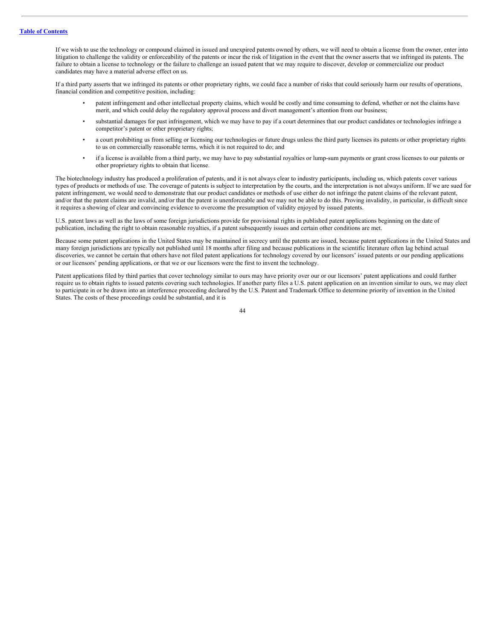If we wish to use the technology or compound claimed in issued and unexpired patents owned by others, we will need to obtain a license from the owner, enter into litigation to challenge the validity or enforceability of the patents or incur the risk of litigation in the event that the owner asserts that we infringed its patents. The failure to obtain a license to technology or the failure to challenge an issued patent that we may require to discover, develop or commercialize our product candidates may have a material adverse effect on us.

If a third party asserts that we infringed its patents or other proprietary rights, we could face a number of risks that could seriously harm our results of operations, financial condition and competitive position, including:

- patent infringement and other intellectual property claims, which would be costly and time consuming to defend, whether or not the claims have merit, and which could delay the regulatory approval process and divert management's attention from our business;
- substantial damages for past infringement, which we may have to pay if a court determines that our product candidates or technologies infringe a competitor's patent or other proprietary rights;
- a court prohibiting us from selling or licensing our technologies or future drugs unless the third party licenses its patents or other proprietary rights to us on commercially reasonable terms, which it is not required to do; and
- if a license is available from a third party, we may have to pay substantial royalties or lump-sum payments or grant cross licenses to our patents or other proprietary rights to obtain that license.

The biotechnology industry has produced a proliferation of patents, and it is not always clear to industry participants, including us, which patents cover various types of products or methods of use. The coverage of patents is subject to interpretation by the courts, and the interpretation is not always uniform. If we are sued for patent infringement, we would need to demonstrate that our product candidates or methods of use either do not infringe the patent claims of the relevant patent, and/or that the patent claims are invalid, and/or that the patent is unenforceable and we may not be able to do this. Proving invalidity, in particular, is difficult since it requires a showing of clear and convincing evidence to overcome the presumption of validity enjoyed by issued patents.

U.S. patent laws as well as the laws of some foreign jurisdictions provide for provisional rights in published patent applications beginning on the date of publication, including the right to obtain reasonable royalties, if a patent subsequently issues and certain other conditions are met.

Because some patent applications in the United States may be maintained in secrecy until the patents are issued, because patent applications in the United States and many foreign jurisdictions are typically not published until 18 months after filing and because publications in the scientific literature often lag behind actual discoveries, we cannot be certain that others have not filed patent applications for technology covered by our licensors' issued patents or our pending applications or our licensors' pending applications, or that we or our licensors were the first to invent the technology.

Patent applications filed by third parties that cover technology similar to ours may have priority over our or our licensors' patent applications and could further require us to obtain rights to issued patents covering such technologies. If another party files a U.S. patent application on an invention similar to ours, we may elect to participate in or be drawn into an interference proceeding declared by the U.S. Patent and Trademark Office to determine priority of invention in the United States. The costs of these proceedings could be substantial, and it is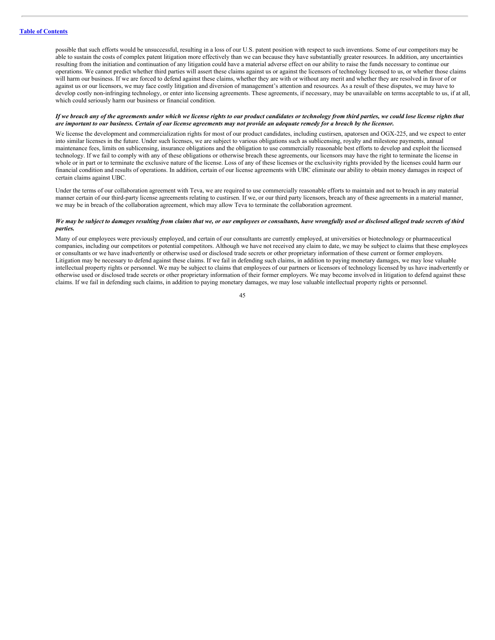possible that such efforts would be unsuccessful, resulting in a loss of our U.S. patent position with respect to such inventions. Some of our competitors may be able to sustain the costs of complex patent litigation more effectively than we can because they have substantially greater resources. In addition, any uncertainties resulting from the initiation and continuation of any litigation could have a material adverse effect on our ability to raise the funds necessary to continue our operations. We cannot predict whether third parties will assert these claims against us or against the licensors of technology licensed to us, or whether those claims will harm our business. If we are forced to defend against these claims, whether they are with or without any merit and whether they are resolved in favor of or against us or our licensors, we may face costly litigation and diversion of management's attention and resources. As a result of these disputes, we may have to develop costly non-infringing technology, or enter into licensing agreements. These agreements, if necessary, may be unavailable on terms acceptable to us, if at all, which could seriously harm our business or financial condition.

#### If we breach any of the agreements under which we license rights to our product candidates or technology from third parties, we could lose license rights that are important to our business. Certain of our license agreements may not provide an adequate remedy for a breach by the licensor.

We license the development and commercialization rights for most of our product candidates, including custirsen, apatorsen and OGX-225, and we expect to enter into similar licenses in the future. Under such licenses, we are subject to various obligations such as sublicensing, royalty and milestone payments, annual maintenance fees, limits on sublicensing, insurance obligations and the obligation to use commercially reasonable best efforts to develop and exploit the licensed technology. If we fail to comply with any of these obligations or otherwise breach these agreements, our licensors may have the right to terminate the license in whole or in part or to terminate the exclusive nature of the license. Loss of any of these licenses or the exclusivity rights provided by the licenses could harm our financial condition and results of operations. In addition, certain of our license agreements with UBC eliminate our ability to obtain money damages in respect of certain claims against UBC.

Under the terms of our collaboration agreement with Teva, we are required to use commercially reasonable efforts to maintain and not to breach in any material manner certain of our third-party license agreements relating to custirsen. If we, or our third party licensors, breach any of these agreements in a material manner, we may be in breach of the collaboration agreement, which may allow Teva to terminate the collaboration agreement.

# We may be subject to damages resulting from claims that we, or our employees or consultants, have wrongfully used or disclosed alleged trade secrets of third *parties.*

Many of our employees were previously employed, and certain of our consultants are currently employed, at universities or biotechnology or pharmaceutical companies, including our competitors or potential competitors. Although we have not received any claim to date, we may be subject to claims that these employees or consultants or we have inadvertently or otherwise used or disclosed trade secrets or other proprietary information of these current or former employers. Litigation may be necessary to defend against these claims. If we fail in defending such claims, in addition to paying monetary damages, we may lose valuable intellectual property rights or personnel. We may be subject to claims that employees of our partners or licensors of technology licensed by us have inadvertently or otherwise used or disclosed trade secrets or other proprietary information of their former employers. We may become involved in litigation to defend against these claims. If we fail in defending such claims, in addition to paying monetary damages, we may lose valuable intellectual property rights or personnel.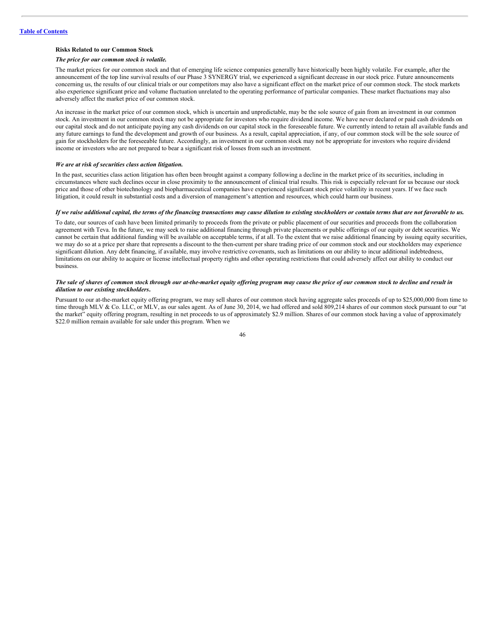# **Risks Related to our Common Stock**

#### *The price for our common stock is volatile.*

The market prices for our common stock and that of emerging life science companies generally have historically been highly volatile. For example, after the announcement of the top line survival results of our Phase 3 SYNERGY trial, we experienced a significant decrease in our stock price. Future announcements concerning us, the results of our clinical trials or our competitors may also have a significant effect on the market price of our common stock. The stock markets also experience significant price and volume fluctuation unrelated to the operating performance of particular companies. These market fluctuations may also adversely affect the market price of our common stock.

An increase in the market price of our common stock, which is uncertain and unpredictable, may be the sole source of gain from an investment in our common stock. An investment in our common stock may not be appropriate for investors who require dividend income. We have never declared or paid cash dividends on our capital stock and do not anticipate paying any cash dividends on our capital stock in the foreseeable future. We currently intend to retain all available funds and any future earnings to fund the development and growth of our business. As a result, capital appreciation, if any, of our common stock will be the sole source of gain for stockholders for the foreseeable future. Accordingly, an investment in our common stock may not be appropriate for investors who require dividend income or investors who are not prepared to bear a significant risk of losses from such an investment.

# *We are at risk of securities class action litigation.*

In the past, securities class action litigation has often been brought against a company following a decline in the market price of its securities, including in circumstances where such declines occur in close proximity to the announcement of clinical trial results. This risk is especially relevant for us because our stock price and those of other biotechnology and biopharmaceutical companies have experienced significant stock price volatility in recent years. If we face such litigation, it could result in substantial costs and a diversion of management's attention and resources, which could harm our business.

# If we raise additional capital, the terms of the financing transactions may cause dilution to existing stockholders or contain terms that are not favorable to us.

To date, our sources of cash have been limited primarily to proceeds from the private or public placement of our securities and proceeds from the collaboration agreement with Teva. In the future, we may seek to raise additional financing through private placements or public offerings of our equity or debt securities. We cannot be certain that additional funding will be available on acceptable terms, if at all. To the extent that we raise additional financing by issuing equity securities, we may do so at a price per share that represents a discount to the then-current per share trading price of our common stock and our stockholders may experience significant dilution. Any debt financing, if available, may involve restrictive covenants, such as limitations on our ability to incur additional indebtedness, limitations on our ability to acquire or license intellectual property rights and other operating restrictions that could adversely affect our ability to conduct our business.

#### The sale of shares of common stock through our at-the-market equity offering program may cause the price of our common stock to decline and result in *dilution to our existing stockholders***.**

Pursuant to our at-the-market equity offering program, we may sell shares of our common stock having aggregate sales proceeds of up to \$25,000,000 from time to time through MLV & Co. LLC, or MLV, as our sales agent. As of June 30, 2014, we had offered and sold 809,214 shares of our common stock pursuant to our "at the market" equity offering program, resulting in net proceeds to us of approximately \$2.9 million. Shares of our common stock having a value of approximately \$22.0 million remain available for sale under this program. When we

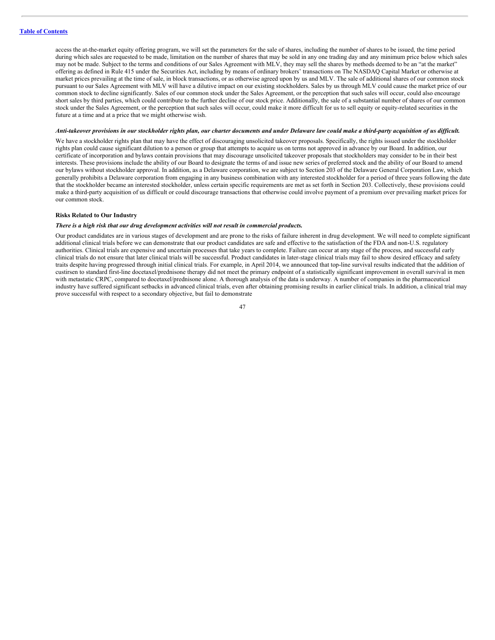access the at-the-market equity offering program, we will set the parameters for the sale of shares, including the number of shares to be issued, the time period during which sales are requested to be made, limitation on the number of shares that may be sold in any one trading day and any minimum price below which sales may not be made. Subject to the terms and conditions of our Sales Agreement with MLV, they may sell the shares by methods deemed to be an "at the market" offering as defined in Rule 415 under the Securities Act, including by means of ordinary brokers' transactions on The NASDAQ Capital Market or otherwise at market prices prevailing at the time of sale, in block transactions, or as otherwise agreed upon by us and MLV. The sale of additional shares of our common stock pursuant to our Sales Agreement with MLV will have a dilutive impact on our existing stockholders. Sales by us through MLV could cause the market price of our common stock to decline significantly. Sales of our common stock under the Sales Agreement, or the perception that such sales will occur, could also encourage short sales by third parties, which could contribute to the further decline of our stock price. Additionally, the sale of a substantial number of shares of our common stock under the Sales Agreement, or the perception that such sales will occur, could make it more difficult for us to sell equity or equity-related securities in the future at a time and at a price that we might otherwise wish.

#### Anti-takeover provisions in our stockholder rights plan, our charter documents and under Delaware law could make a third-party acquisition of us difficult.

We have a stockholder rights plan that may have the effect of discouraging unsolicited takeover proposals. Specifically, the rights issued under the stockholder rights plan could cause significant dilution to a person or group that attempts to acquire us on terms not approved in advance by our Board. In addition, our certificate of incorporation and bylaws contain provisions that may discourage unsolicited takeover proposals that stockholders may consider to be in their best interests. These provisions include the ability of our Board to designate the terms of and issue new series of preferred stock and the ability of our Board to amend our bylaws without stockholder approval. In addition, as a Delaware corporation, we are subject to Section 203 of the Delaware General Corporation Law, which generally prohibits a Delaware corporation from engaging in any business combination with any interested stockholder for a period of three years following the date that the stockholder became an interested stockholder, unless certain specific requirements are met as set forth in Section 203. Collectively, these provisions could make a third-party acquisition of us difficult or could discourage transactions that otherwise could involve payment of a premium over prevailing market prices for our common stock.

# **Risks Related to Our Industry**

# *There is a high risk that our drug development activities will not result in commercial products.*

Our product candidates are in various stages of development and are prone to the risks of failure inherent in drug development. We will need to complete significant additional clinical trials before we can demonstrate that our product candidates are safe and effective to the satisfaction of the FDA and non-U.S. regulatory authorities. Clinical trials are expensive and uncertain processes that take years to complete. Failure can occur at any stage of the process, and successful early clinical trials do not ensure that later clinical trials will be successful. Product candidates in later-stage clinical trials may fail to show desired efficacy and safety traits despite having progressed through initial clinical trials. For example, in April 2014, we announced that top-line survival results indicated that the addition of custirsen to standard first-line docetaxel/prednisone therapy did not meet the primary endpoint of a statistically significant improvement in overall survival in men with metastatic CRPC, compared to docetaxel/prednisone alone. A thorough analysis of the data is underway. A number of companies in the pharmaceutical industry have suffered significant setbacks in advanced clinical trials, even after obtaining promising results in earlier clinical trials. In addition, a clinical trial may prove successful with respect to a secondary objective, but fail to demonstrate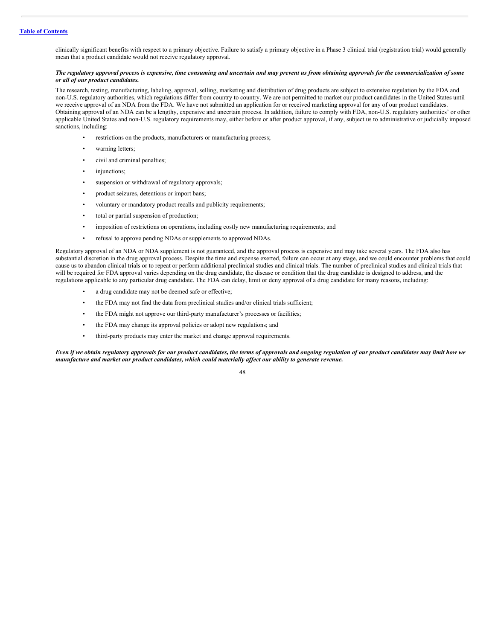clinically significant benefits with respect to a primary objective. Failure to satisfy a primary objective in a Phase 3 clinical trial (registration trial) would generally mean that a product candidate would not receive regulatory approval.

# The regulatory approval process is expensive, time consuming and uncertain and may prevent us from obtaining approvals for the commercialization of some *or all of our product candidates.*

The research, testing, manufacturing, labeling, approval, selling, marketing and distribution of drug products are subject to extensive regulation by the FDA and non-U.S. regulatory authorities, which regulations differ from country to country. We are not permitted to market our product candidates in the United States until we receive approval of an NDA from the FDA. We have not submitted an application for or received marketing approval for any of our product candidates. Obtaining approval of an NDA can be a lengthy, expensive and uncertain process. In addition, failure to comply with FDA, non-U.S. regulatory authorities' or other applicable United States and non-U.S. regulatory requirements may, either before or after product approval, if any, subject us to administrative or judicially imposed sanctions, including:

- restrictions on the products, manufacturers or manufacturing process;
- warning letters;
- civil and criminal penalties;
- injunctions;
- suspension or withdrawal of regulatory approvals;
- product seizures, detentions or import bans;
- voluntary or mandatory product recalls and publicity requirements;
- total or partial suspension of production;
- imposition of restrictions on operations, including costly new manufacturing requirements; and
- refusal to approve pending NDAs or supplements to approved NDAs.

Regulatory approval of an NDA or NDA supplement is not guaranteed, and the approval process is expensive and may take several years. The FDA also has substantial discretion in the drug approval process. Despite the time and expense exerted, failure can occur at any stage, and we could encounter problems that could cause us to abandon clinical trials or to repeat or perform additional preclinical studies and clinical trials. The number of preclinical studies and clinical trials that will be required for FDA approval varies depending on the drug candidate, the disease or condition that the drug candidate is designed to address, and the regulations applicable to any particular drug candidate. The FDA can delay, limit or deny approval of a drug candidate for many reasons, including:

- a drug candidate may not be deemed safe or effective;
- the FDA may not find the data from preclinical studies and/or clinical trials sufficient;
- the FDA might not approve our third-party manufacturer's processes or facilities;
- the FDA may change its approval policies or adopt new regulations; and
- third-party products may enter the market and change approval requirements.

Even if we obtain regulatory approvals for our product candidates, the terms of approvals and ongoing regulation of our product candidates may limit how we *manufacture and market our product candidates, which could materially af ect our ability to generate revenue.*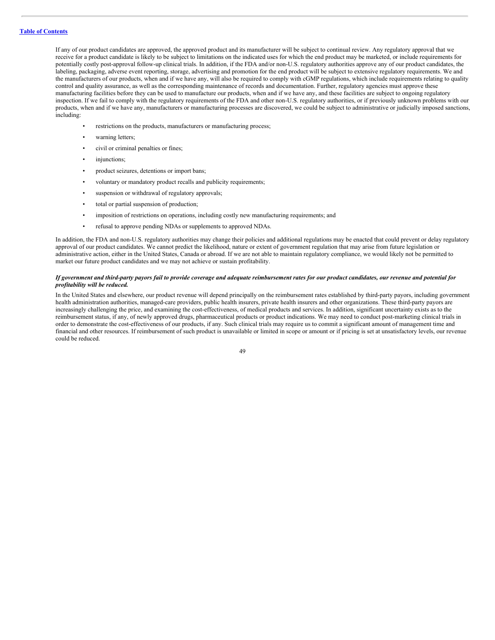If any of our product candidates are approved, the approved product and its manufacturer will be subject to continual review. Any regulatory approval that we receive for a product candidate is likely to be subject to limitations on the indicated uses for which the end product may be marketed, or include requirements for potentially costly post-approval follow-up clinical trials. In addition, if the FDA and/or non-U.S. regulatory authorities approve any of our product candidates, the labeling, packaging, adverse event reporting, storage, advertising and promotion for the end product will be subject to extensive regulatory requirements. We and the manufacturers of our products, when and if we have any, will also be required to comply with cGMP regulations, which include requirements relating to quality control and quality assurance, as well as the corresponding maintenance of records and documentation. Further, regulatory agencies must approve these manufacturing facilities before they can be used to manufacture our products, when and if we have any, and these facilities are subject to ongoing regulatory inspection. If we fail to comply with the regulatory requirements of the FDA and other non-U.S. regulatory authorities, or if previously unknown problems with our products, when and if we have any, manufacturers or manufacturing processes are discovered, we could be subject to administrative or judicially imposed sanctions, including:

- restrictions on the products, manufacturers or manufacturing process;
- warning letters:
- civil or criminal penalties or fines;
- injunctions;
- product seizures, detentions or import bans;
- voluntary or mandatory product recalls and publicity requirements;
- suspension or withdrawal of regulatory approvals;
- total or partial suspension of production;
- imposition of restrictions on operations, including costly new manufacturing requirements; and
- refusal to approve pending NDAs or supplements to approved NDAs.

In addition, the FDA and non-U.S. regulatory authorities may change their policies and additional regulations may be enacted that could prevent or delay regulatory approval of our product candidates. We cannot predict the likelihood, nature or extent of government regulation that may arise from future legislation or administrative action, either in the United States, Canada or abroad. If we are not able to maintain regulatory compliance, we would likely not be permitted to market our future product candidates and we may not achieve or sustain profitability.

# If government and third-party payors fail to provide coverage and adequate reimbursement rates for our product candidates, our revenue and potential for *profitability will be reduced.*

In the United States and elsewhere, our product revenue will depend principally on the reimbursement rates established by third-party payors, including government health administration authorities, managed-care providers, public health insurers, private health insurers and other organizations. These third-party payors are increasingly challenging the price, and examining the cost-effectiveness, of medical products and services. In addition, significant uncertainty exists as to the reimbursement status, if any, of newly approved drugs, pharmaceutical products or product indications. We may need to conduct post-marketing clinical trials in order to demonstrate the cost-effectiveness of our products, if any. Such clinical trials may require us to commit a significant amount of management time and financial and other resources. If reimbursement of such product is unavailable or limited in scope or amount or if pricing is set at unsatisfactory levels, our revenue could be reduced.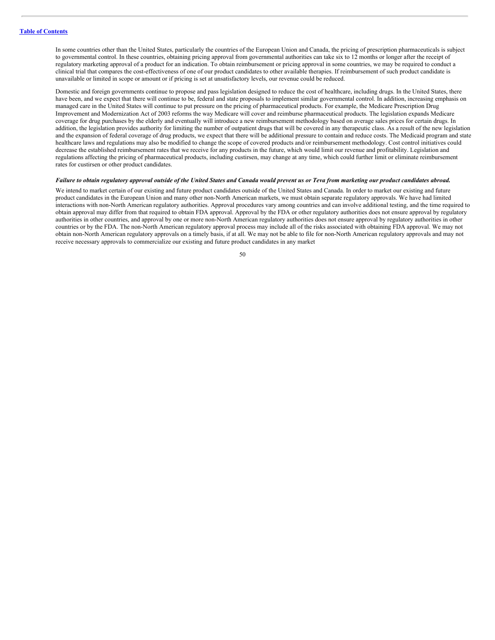In some countries other than the United States, particularly the countries of the European Union and Canada, the pricing of prescription pharmaceuticals is subject to governmental control. In these countries, obtaining pricing approval from governmental authorities can take six to 12 months or longer after the receipt of regulatory marketing approval of a product for an indication. To obtain reimbursement or pricing approval in some countries, we may be required to conduct a clinical trial that compares the cost-effectiveness of one of our product candidates to other available therapies. If reimbursement of such product candidate is unavailable or limited in scope or amount or if pricing is set at unsatisfactory levels, our revenue could be reduced.

Domestic and foreign governments continue to propose and pass legislation designed to reduce the cost of healthcare, including drugs. In the United States, there have been, and we expect that there will continue to be, federal and state proposals to implement similar governmental control. In addition, increasing emphasis on managed care in the United States will continue to put pressure on the pricing of pharmaceutical products. For example, the Medicare Prescription Drug Improvement and Modernization Act of 2003 reforms the way Medicare will cover and reimburse pharmaceutical products. The legislation expands Medicare coverage for drug purchases by the elderly and eventually will introduce a new reimbursement methodology based on average sales prices for certain drugs. In addition, the legislation provides authority for limiting the number of outpatient drugs that will be covered in any therapeutic class. As a result of the new legislation and the expansion of federal coverage of drug products, we expect that there will be additional pressure to contain and reduce costs. The Medicaid program and state healthcare laws and regulations may also be modified to change the scope of covered products and/or reimbursement methodology. Cost control initiatives could decrease the established reimbursement rates that we receive for any products in the future, which would limit our revenue and profitability. Legislation and regulations affecting the pricing of pharmaceutical products, including custirsen, may change at any time, which could further limit or eliminate reimbursement rates for custirsen or other product candidates.

#### Failure to obtain regulatory approval outside of the United States and Canada would prevent us or Teva from marketing our product candidates abroad.

We intend to market certain of our existing and future product candidates outside of the United States and Canada. In order to market our existing and future product candidates in the European Union and many other non-North American markets, we must obtain separate regulatory approvals. We have had limited interactions with non-North American regulatory authorities. Approval procedures vary among countries and can involve additional testing, and the time required to obtain approval may differ from that required to obtain FDA approval. Approval by the FDA or other regulatory authorities does not ensure approval by regulatory authorities in other countries, and approval by one or more non-North American regulatory authorities does not ensure approval by regulatory authorities in other countries or by the FDA. The non-North American regulatory approval process may include all of the risks associated with obtaining FDA approval. We may not obtain non-North American regulatory approvals on a timely basis, if at all. We may not be able to file for non-North American regulatory approvals and may not receive necessary approvals to commercialize our existing and future product candidates in any market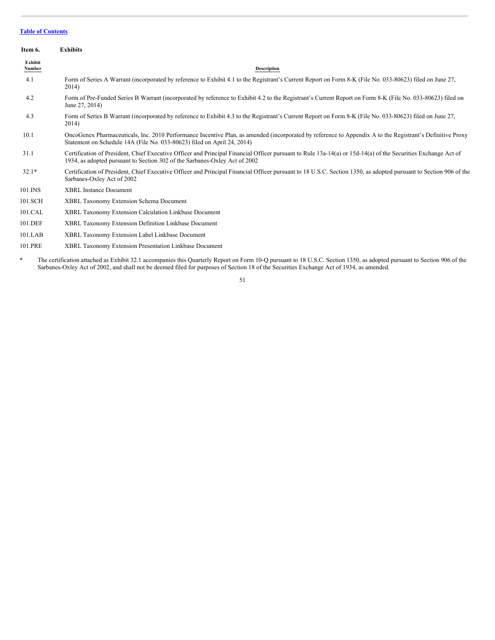<span id="page-50-0"></span>

| Item 6.           | <b>Exhibits</b>                                                                                                                                                                                                                             |
|-------------------|---------------------------------------------------------------------------------------------------------------------------------------------------------------------------------------------------------------------------------------------|
| Exhibit<br>Number | <b>Description</b>                                                                                                                                                                                                                          |
| 4.1               | Form of Series A Warrant (incorporated by reference to Exhibit 4.1 to the Registrant's Current Report on Form 8-K (File No. 033-80623) filed on June 27,<br>2014)                                                                           |
| 4.2               | Form of Pre-Funded Series B Warrant (incorporated by reference to Exhibit 4.2 to the Registrant's Current Report on Form 8-K (File No. 033-80623) filed on<br>June 27, 2014)                                                                |
| 4.3               | Form of Series B Warrant (incorporated by reference to Exhibit 4.3 to the Registrant's Current Report on Form 8-K (File No. 033-80623) filed on June 27,<br>2014)                                                                           |
| 10.1              | OncoGenex Pharmaceuticals, Inc. 2010 Performance Incentive Plan, as amended (incorporated by reference to Appendix A to the Registrant's Definitive Proxy<br>Statement on Schedule 14A (File No. 033-80623) filed on April 24, 2014)        |
| 31.1              | Certification of President, Chief Executive Officer and Principal Financial Officer pursuant to Rule 13a-14(a) or 15d-14(a) of the Securities Exchange Act of<br>1934, as adopted pursuant to Section 302 of the Sarbanes-Oxley Act of 2002 |
| $32.1*$           | Certification of President, Chief Executive Officer and Principal Financial Officer pursuant to 18 U.S.C. Section 1350, as adopted pursuant to Section 906 of the<br>Sarbanes-Oxley Act of 2002                                             |
| 101.INS           | <b>XBRL Instance Document</b>                                                                                                                                                                                                               |
| 101.SCH           | XBRL Taxonomy Extension Schema Document                                                                                                                                                                                                     |
| 101.CAL           | XBRL Taxonomy Extension Calculation Linkbase Document                                                                                                                                                                                       |
| 101.DEF           | XBRL Taxonomy Extension Definition Linkbase Document                                                                                                                                                                                        |
| 101.LAB           | XBRL Taxonomy Extension Label Linkbase Document                                                                                                                                                                                             |
| 101.PRE           | XBRL Taxonomy Extension Presentation Linkbase Document                                                                                                                                                                                      |

\* The certification attached as Exhibit 32.1 accompanies this Quarterly Report on Form 10-Q pursuant to 18 U.S.C. Section 1350, as adopted pursuant to Section 906 of the Sarbanes-Oxley Act of 2002, and shall not be deemed filed for purposes of Section 18 of the Securities Exchange Act of 1934, as amended.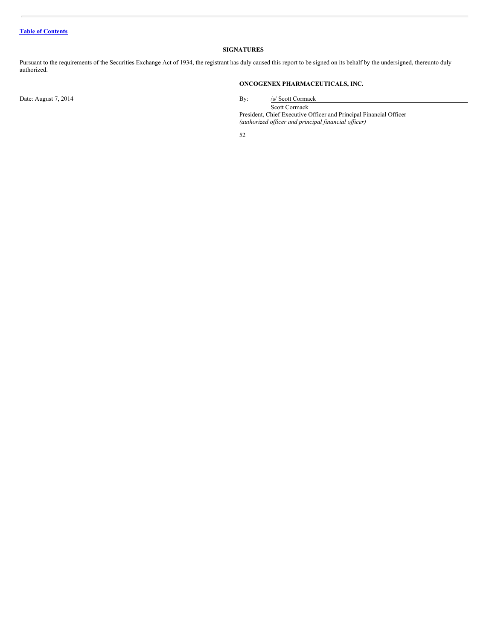# <span id="page-51-0"></span>**SIGNATURES**

Pursuant to the requirements of the Securities Exchange Act of 1934, the registrant has duly caused this report to be signed on its behalf by the undersigned, thereunto duly authorized.

# **ONCOGENEX PHARMACEUTICALS, INC.**

Date: August 7, 2014 By: /s/ Scott Cormack

Scott Cormack

President, Chief Executive Officer and Principal Financial Officer *(authorized of icer and principal financial of icer)*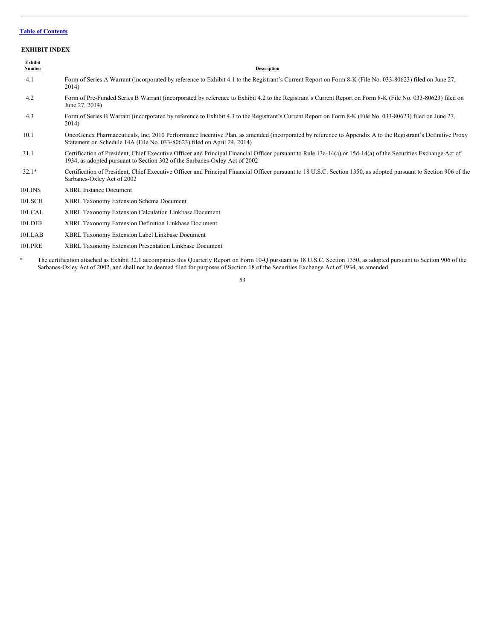# <span id="page-52-0"></span>**EXHIBIT INDEX**

| Exhibit<br>Number | <b>Description</b>                                                                                                                                                                                                                          |
|-------------------|---------------------------------------------------------------------------------------------------------------------------------------------------------------------------------------------------------------------------------------------|
| 4.1               | Form of Series A Warrant (incorporated by reference to Exhibit 4.1 to the Registrant's Current Report on Form 8-K (File No. 033-80623) filed on June 27,<br>2014)                                                                           |
| 4.2               | Form of Pre-Funded Series B Warrant (incorporated by reference to Exhibit 4.2 to the Registrant's Current Report on Form 8-K (File No. 033-80623) filed on<br>June 27, 2014)                                                                |
| 4.3               | Form of Series B Warrant (incorporated by reference to Exhibit 4.3 to the Registrant's Current Report on Form 8-K (File No. 033-80623) filed on June 27,<br>2014)                                                                           |
| 10.1              | OncoGenex Pharmaceuticals, Inc. 2010 Performance Incentive Plan, as amended (incorporated by reference to Appendix A to the Registrant's Definitive Proxy<br>Statement on Schedule 14A (File No. 033-80623) filed on April 24, 2014)        |
| 31.1              | Certification of President, Chief Executive Officer and Principal Financial Officer pursuant to Rule 13a-14(a) or 15d-14(a) of the Securities Exchange Act of<br>1934, as adopted pursuant to Section 302 of the Sarbanes-Oxley Act of 2002 |
| $32.1*$           | Certification of President, Chief Executive Officer and Principal Financial Officer pursuant to 18 U.S.C. Section 1350, as adopted pursuant to Section 906 of the<br>Sarbanes-Oxley Act of 2002                                             |
| 101.INS           | <b>XBRL Instance Document</b>                                                                                                                                                                                                               |
| 101.SCH           | XBRL Taxonomy Extension Schema Document                                                                                                                                                                                                     |
| 101.CAL           | XBRL Taxonomy Extension Calculation Linkbase Document                                                                                                                                                                                       |
| 101.DEF           | XBRL Taxonomy Extension Definition Linkbase Document                                                                                                                                                                                        |
| 101.LAB           | XBRL Taxonomy Extension Label Linkbase Document                                                                                                                                                                                             |
| 101.PRE           | XBRL Taxonomy Extension Presentation Linkbase Document                                                                                                                                                                                      |

\* The certification attached as Exhibit 32.1 accompanies this Quarterly Report on Form 10-Q pursuant to 18 U.S.C. Section 1350, as adopted pursuant to Section 906 of the Sarbanes-Oxley Act of 2002, and shall not be deemed filed for purposes of Section 18 of the Securities Exchange Act of 1934, as amended.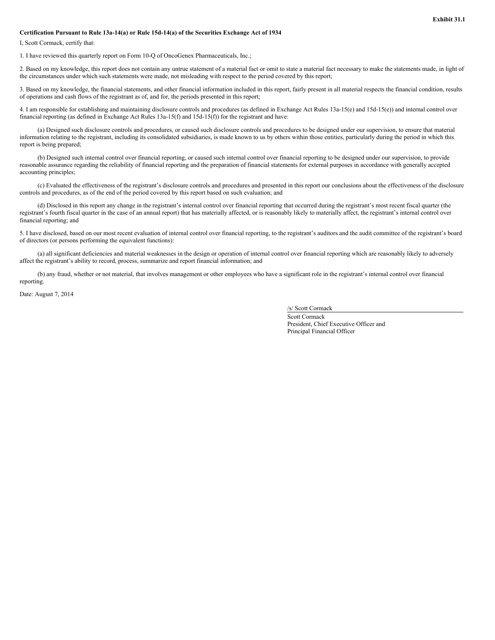# **Certification Pursuant to Rule 13a-14(a) or Rule 15d-14(a) of the Securities Exchange Act of 1934**

I, Scott Cormack, certify that:

1. I have reviewed this quarterly report on Form 10-Q of OncoGenex Pharmaceuticals, Inc.;

2. Based on my knowledge, this report does not contain any untrue statement of a material fact or omit to state a material fact necessary to make the statements made, in light of the circumstances under which such statements were made, not misleading with respect to the period covered by this report;

3. Based on my knowledge, the financial statements, and other financial information included in this report, fairly present in all material respects the financial condition, results of operations and cash flows of the registrant as of, and for, the periods presented in this report;

4. I am responsible for establishing and maintaining disclosure controls and procedures (as defined in Exchange Act Rules 13a-15(e) and 15d-15(e)) and internal control over financial reporting (as defined in Exchange Act Rules 13a-15(f) and 15d-15(f)) for the registrant and have:

(a) Designed such disclosure controls and procedures, or caused such disclosure controls and procedures to be designed under our supervision, to ensure that material information relating to the registrant, including its consolidated subsidiaries, is made known to us by others within those entities, particularly during the period in which this report is being prepared;

(b) Designed such internal control over financial reporting, or caused such internal control over financial reporting to be designed under our supervision, to provide reasonable assurance regarding the reliability of financial reporting and the preparation of financial statements for external purposes in accordance with generally accepted accounting principles;

(c) Evaluated the effectiveness of the registrant's disclosure controls and procedures and presented in this report our conclusions about the effectiveness of the disclosure controls and procedures, as of the end of the period covered by this report based on such evaluation; and

(d) Disclosed in this report any change in the registrant's internal control over financial reporting that occurred during the registrant's most recent fiscal quarter (the registrant's fourth fiscal quarter in the case of an annual report) that has materially affected, or is reasonably likely to materially affect, the registrant's internal control over financial reporting; and

5. I have disclosed, based on our most recent evaluation of internal control over financial reporting, to the registrant's auditors and the audit committee of the registrant's board of directors (or persons performing the equivalent functions):

(a) all significant deficiencies and material weaknesses in the design or operation of internal control over financial reporting which are reasonably likely to adversely affect the registrant's ability to record, process, summarize and report financial information; and

(b) any fraud, whether or not material, that involves management or other employees who have a significant role in the registrant's internal control over financial reporting.

Date: August 7, 2014

/s/ Scott Cormack

Scott Cormack President, Chief Executive Officer and Principal Financial Officer